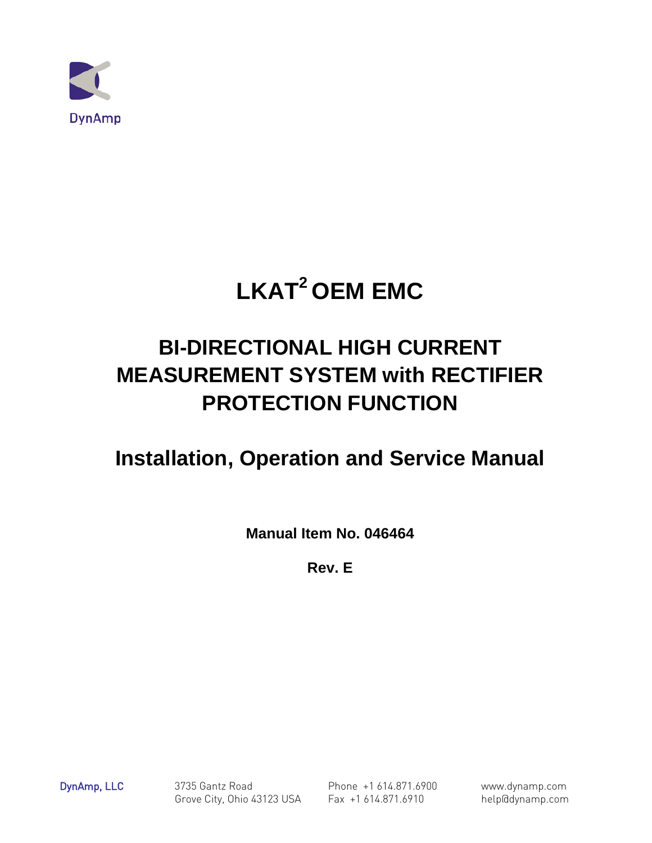

# **LKAT2 OEM EMC**

# **BI-DIRECTIONAL HIGH CURRENT MEASUREMENT SYSTEM with RECTIFIER PROTECTION FUNCTION**

# **Installation, Operation and Service Manual**

**Manual Item No. 046464**

**Rev. E** 

DynAmp, LLC 3735 Gantz Road Phone +1 614.871.6900 www.dynamp.com Grove City, Ohio 43123 USA Fax +1 614.871.6910 help@dynamp.com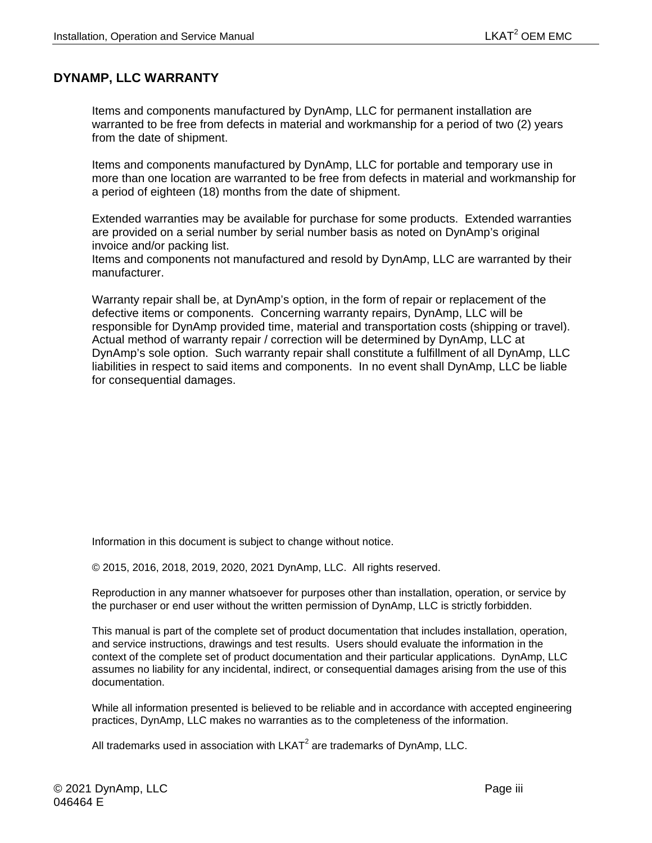#### <span id="page-2-0"></span>**DYNAMP, LLC WARRANTY**

Items and components manufactured by DynAmp, LLC for permanent installation are warranted to be free from defects in material and workmanship for a period of two (2) years from the date of shipment.

Items and components manufactured by DynAmp, LLC for portable and temporary use in more than one location are warranted to be free from defects in material and workmanship for a period of eighteen (18) months from the date of shipment.

Extended warranties may be available for purchase for some products. Extended warranties are provided on a serial number by serial number basis as noted on DynAmp's original invoice and/or packing list.

Items and components not manufactured and resold by DynAmp, LLC are warranted by their manufacturer.

Warranty repair shall be, at DynAmp's option, in the form of repair or replacement of the defective items or components. Concerning warranty repairs, DynAmp, LLC will be responsible for DynAmp provided time, material and transportation costs (shipping or travel). Actual method of warranty repair / correction will be determined by DynAmp, LLC at DynAmp's sole option. Such warranty repair shall constitute a fulfillment of all DynAmp, LLC liabilities in respect to said items and components. In no event shall DynAmp, LLC be liable for consequential damages.

Information in this document is subject to change without notice.

© 2015, 2016, 2018, 2019, 2020, 2021 DynAmp, LLC. All rights reserved.

Reproduction in any manner whatsoever for purposes other than installation, operation, or service by the purchaser or end user without the written permission of DynAmp, LLC is strictly forbidden.

This manual is part of the complete set of product documentation that includes installation, operation, and service instructions, drawings and test results. Users should evaluate the information in the context of the complete set of product documentation and their particular applications. DynAmp, LLC assumes no liability for any incidental, indirect, or consequential damages arising from the use of this documentation.

While all information presented is believed to be reliable and in accordance with accepted engineering practices, DynAmp, LLC makes no warranties as to the completeness of the information.

All trademarks used in association with LKAT $2$  are trademarks of DynAmp, LLC.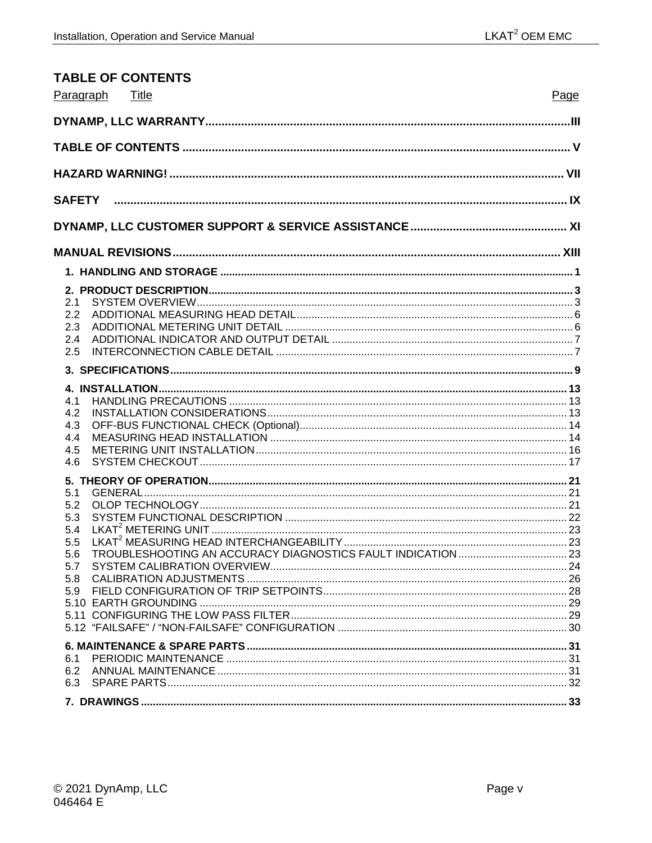<span id="page-4-0"></span>

| <b>TABLE OF CONTENTS</b>                                    |      |
|-------------------------------------------------------------|------|
| Paragraph<br>Title                                          | Page |
|                                                             |      |
|                                                             |      |
|                                                             |      |
|                                                             |      |
|                                                             |      |
|                                                             |      |
|                                                             |      |
| 2.1<br>2.2<br>2.3<br>2.4<br>2.5                             |      |
|                                                             |      |
| 4.1<br>4.2<br>4.3<br>4.4<br>4.5<br>4.6                      |      |
| 5.1<br>5.2<br>5.3<br>5.4<br>5.5<br>5.6<br>5.7<br>5.8<br>5.9 |      |
| 6.1<br>6.2<br>6.3                                           |      |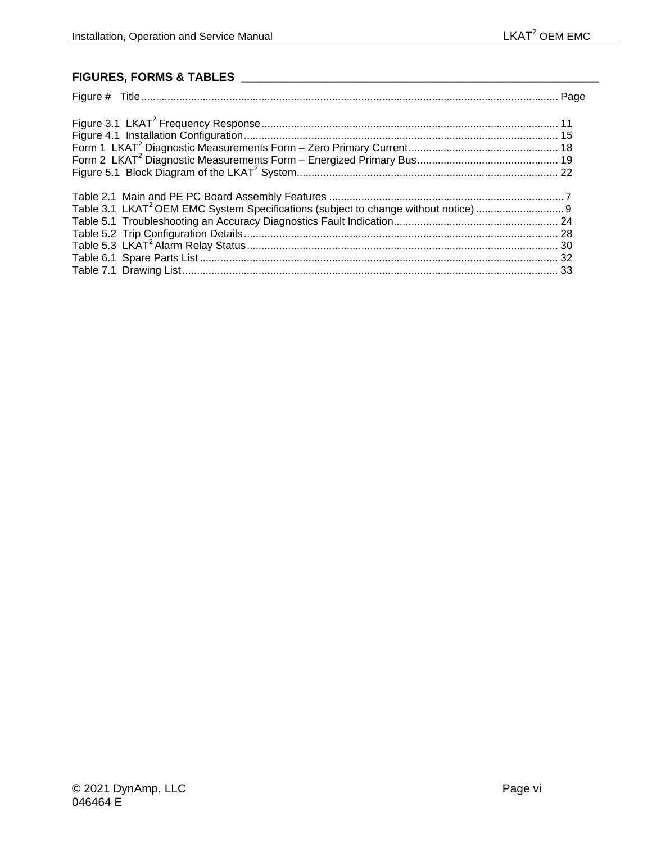### **FIGURES, FORMS & TABLES \_\_\_\_\_\_\_\_\_\_\_\_\_\_\_\_\_\_\_\_\_\_\_\_\_\_\_\_\_\_\_\_\_\_\_\_\_\_\_\_\_\_\_\_\_\_\_\_\_\_\_\_\_\_\_**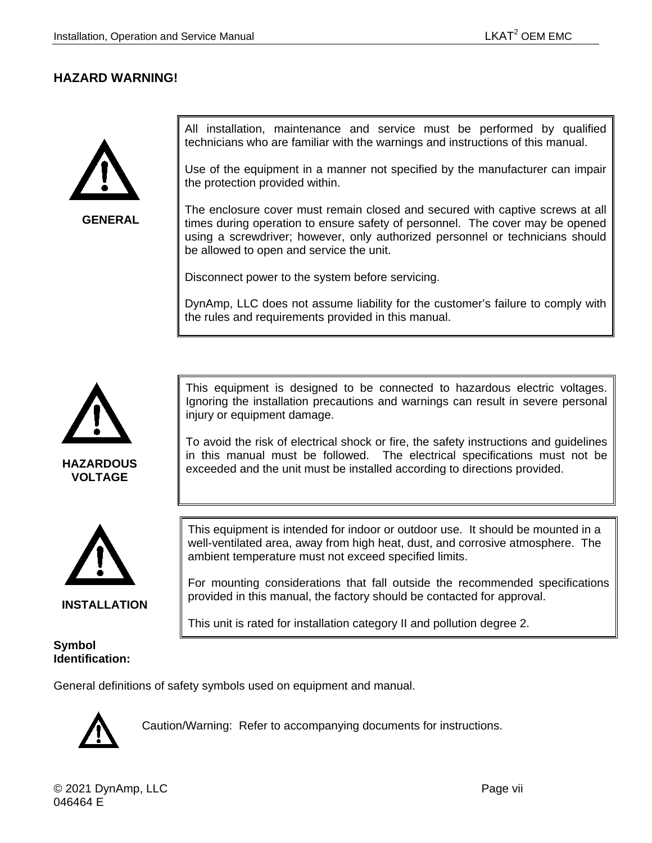#### <span id="page-6-0"></span>**HAZARD WARNING!**



**GENERAL**

All installation, maintenance and service must be performed by qualified technicians who are familiar with the warnings and instructions of this manual.

Use of the equipment in a manner not specified by the manufacturer can impair the protection provided within.

The enclosure cover must remain closed and secured with captive screws at all times during operation to ensure safety of personnel. The cover may be opened using a screwdriver; however, only authorized personnel or technicians should be allowed to open and service the unit.

Disconnect power to the system before servicing.

DynAmp, LLC does not assume liability for the customer's failure to comply with the rules and requirements provided in this manual.



**HAZARDOUS VOLTAGE**



**INSTALLATION**

#### **Symbol Identification:**

This equipment is designed to be connected to hazardous electric voltages. Ignoring the installation precautions and warnings can result in severe personal injury or equipment damage.

To avoid the risk of electrical shock or fire, the safety instructions and guidelines in this manual must be followed. The electrical specifications must not be exceeded and the unit must be installed according to directions provided.

This equipment is intended for indoor or outdoor use. It should be mounted in a well-ventilated area, away from high heat, dust, and corrosive atmosphere. The ambient temperature must not exceed specified limits.

For mounting considerations that fall outside the recommended specifications provided in this manual, the factory should be contacted for approval.

This unit is rated for installation category II and pollution degree 2.

General definitions of safety symbols used on equipment and manual.



Caution/Warning: Refer to accompanying documents for instructions.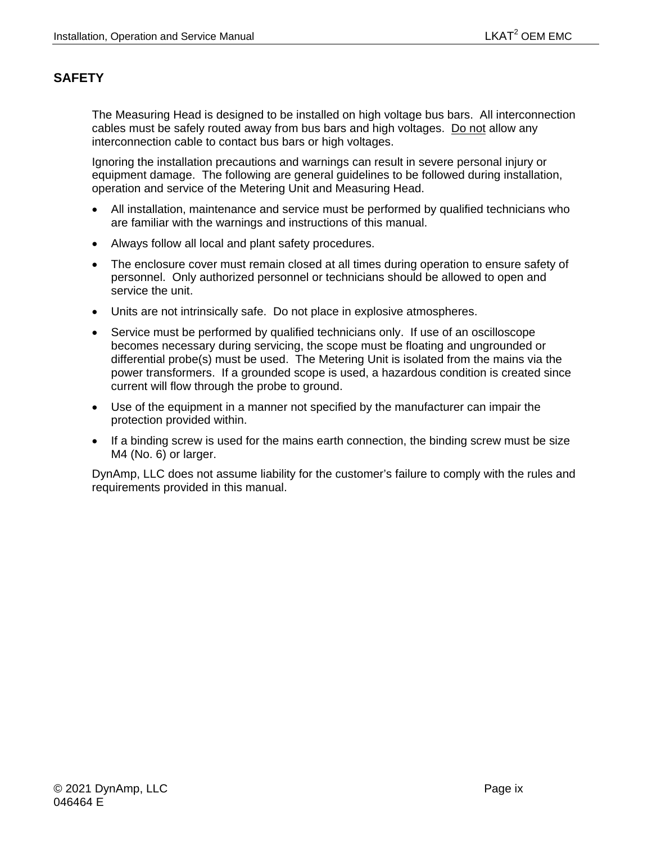## <span id="page-8-0"></span>**SAFETY**

The Measuring Head is designed to be installed on high voltage bus bars. All interconnection cables must be safely routed away from bus bars and high voltages. Do not allow any interconnection cable to contact bus bars or high voltages.

Ignoring the installation precautions and warnings can result in severe personal injury or equipment damage. The following are general guidelines to be followed during installation, operation and service of the Metering Unit and Measuring Head.

- All installation, maintenance and service must be performed by qualified technicians who are familiar with the warnings and instructions of this manual.
- Always follow all local and plant safety procedures.
- The enclosure cover must remain closed at all times during operation to ensure safety of personnel. Only authorized personnel or technicians should be allowed to open and service the unit.
- Units are not intrinsically safe. Do not place in explosive atmospheres.
- Service must be performed by qualified technicians only. If use of an oscilloscope becomes necessary during servicing, the scope must be floating and ungrounded or differential probe(s) must be used. The Metering Unit is isolated from the mains via the power transformers. If a grounded scope is used, a hazardous condition is created since current will flow through the probe to ground.
- Use of the equipment in a manner not specified by the manufacturer can impair the protection provided within.
- If a binding screw is used for the mains earth connection, the binding screw must be size M4 (No. 6) or larger.

DynAmp, LLC does not assume liability for the customer's failure to comply with the rules and requirements provided in this manual.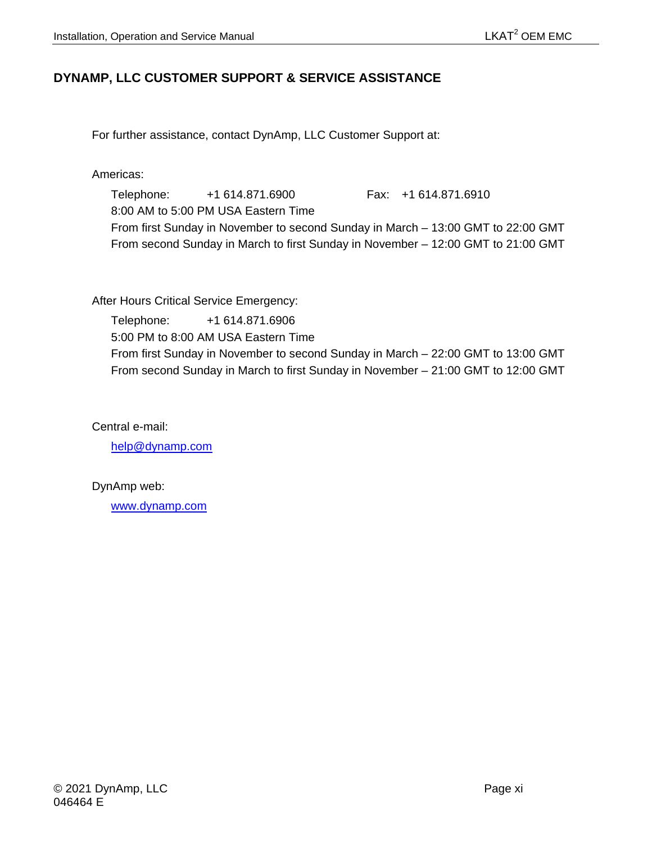### <span id="page-10-0"></span>**DYNAMP, LLC CUSTOMER SUPPORT & SERVICE ASSISTANCE**

For further assistance, contact DynAmp, LLC Customer Support at:

Americas:

Telephone: +1 614.871.6900 Fax: +1 614.871.6910 8:00 AM to 5:00 PM USA Eastern Time From first Sunday in November to second Sunday in March – 13:00 GMT to 22:00 GMT From second Sunday in March to first Sunday in November – 12:00 GMT to 21:00 GMT

After Hours Critical Service Emergency:

Telephone: +1 614.871.6906 5:00 PM to 8:00 AM USA Eastern Time From first Sunday in November to second Sunday in March – 22:00 GMT to 13:00 GMT From second Sunday in March to first Sunday in November – 21:00 GMT to 12:00 GMT

Central e-mail:

[help@dynamp.com](mailto:help@dynamp.com)

DynAmp web:

[www.dynamp.com](http://www.dynamp.com/)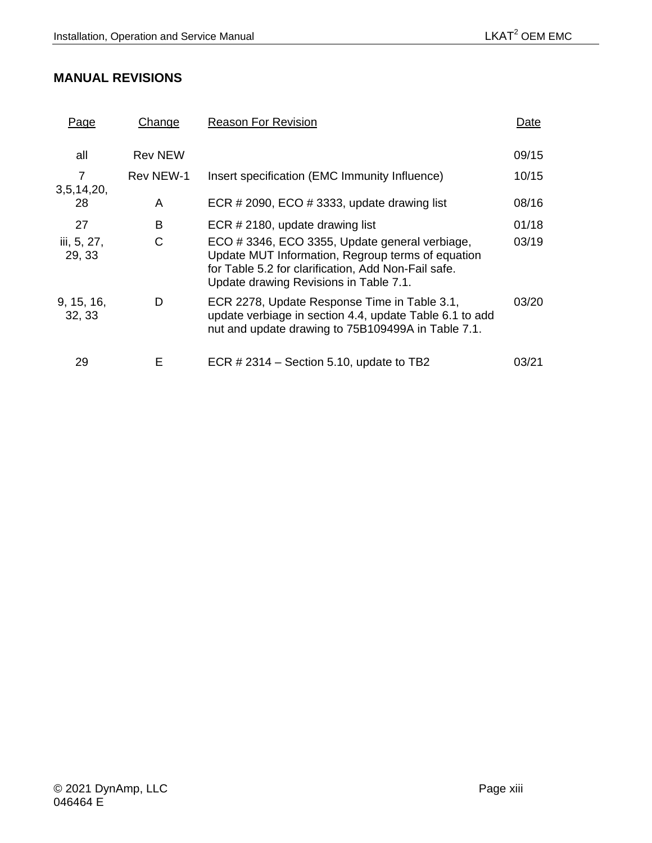## <span id="page-12-0"></span>**MANUAL REVISIONS**

| <u>Page</u>           | Change         | <b>Reason For Revision</b>                                                                                                                                                                          | Date  |
|-----------------------|----------------|-----------------------------------------------------------------------------------------------------------------------------------------------------------------------------------------------------|-------|
| all                   | <b>Rev NEW</b> |                                                                                                                                                                                                     | 09/15 |
| 3,5,14,20,            | Rev NEW-1      | Insert specification (EMC Immunity Influence)                                                                                                                                                       | 10/15 |
| 28                    | A              | ECR # 2090, ECO # 3333, update drawing list                                                                                                                                                         | 08/16 |
| 27                    | B              | ECR # 2180, update drawing list                                                                                                                                                                     | 01/18 |
| iii, 5, 27,<br>29, 33 | С              | ECO #3346, ECO 3355, Update general verbiage,<br>Update MUT Information, Regroup terms of equation<br>for Table 5.2 for clarification, Add Non-Fail safe.<br>Update drawing Revisions in Table 7.1. | 03/19 |
| 9, 15, 16,<br>32, 33  | D              | ECR 2278, Update Response Time in Table 3.1,<br>update verbiage in section 4.4, update Table 6.1 to add<br>nut and update drawing to 75B109499A in Table 7.1.                                       | 03/20 |
| 29                    | Е              | ECR $\#$ 2314 – Section 5.10, update to TB2                                                                                                                                                         | 03/21 |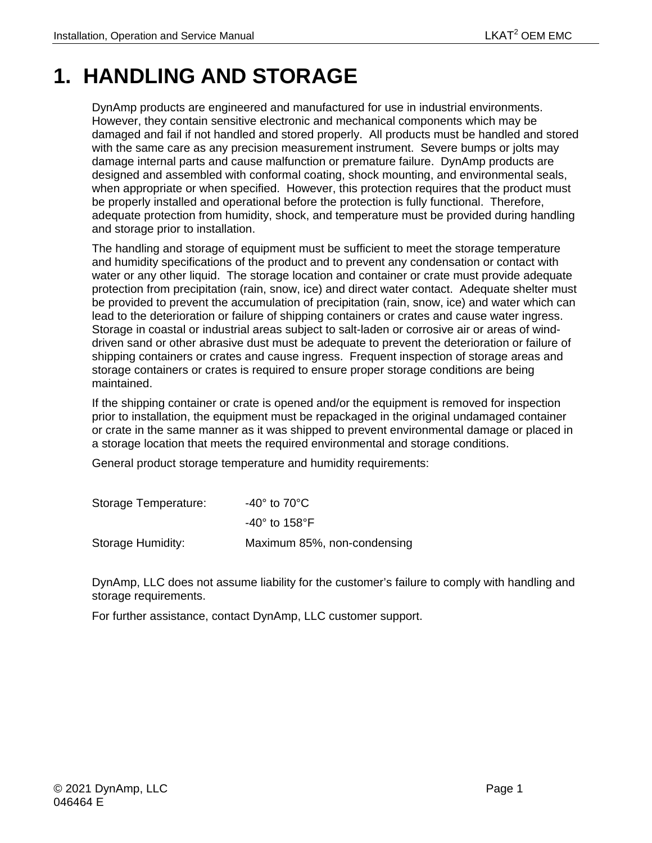# <span id="page-14-0"></span>**1. HANDLING AND STORAGE**

DynAmp products are engineered and manufactured for use in industrial environments. However, they contain sensitive electronic and mechanical components which may be damaged and fail if not handled and stored properly. All products must be handled and stored with the same care as any precision measurement instrument. Severe bumps or jolts may damage internal parts and cause malfunction or premature failure. DynAmp products are designed and assembled with conformal coating, shock mounting, and environmental seals, when appropriate or when specified. However, this protection requires that the product must be properly installed and operational before the protection is fully functional. Therefore, adequate protection from humidity, shock, and temperature must be provided during handling and storage prior to installation.

The handling and storage of equipment must be sufficient to meet the storage temperature and humidity specifications of the product and to prevent any condensation or contact with water or any other liquid. The storage location and container or crate must provide adequate protection from precipitation (rain, snow, ice) and direct water contact. Adequate shelter must be provided to prevent the accumulation of precipitation (rain, snow, ice) and water which can lead to the deterioration or failure of shipping containers or crates and cause water ingress. Storage in coastal or industrial areas subject to salt-laden or corrosive air or areas of winddriven sand or other abrasive dust must be adequate to prevent the deterioration or failure of shipping containers or crates and cause ingress. Frequent inspection of storage areas and storage containers or crates is required to ensure proper storage conditions are being maintained.

If the shipping container or crate is opened and/or the equipment is removed for inspection prior to installation, the equipment must be repackaged in the original undamaged container or crate in the same manner as it was shipped to prevent environmental damage or placed in a storage location that meets the required environmental and storage conditions.

General product storage temperature and humidity requirements:

| Storage Temperature: | -40 $^{\circ}$ to 70 $^{\circ}$ C |
|----------------------|-----------------------------------|
|                      | $-40^\circ$ to 158°F              |
| Storage Humidity:    | Maximum 85%, non-condensing       |

DynAmp, LLC does not assume liability for the customer's failure to comply with handling and storage requirements.

For further assistance, contact DynAmp, LLC customer support.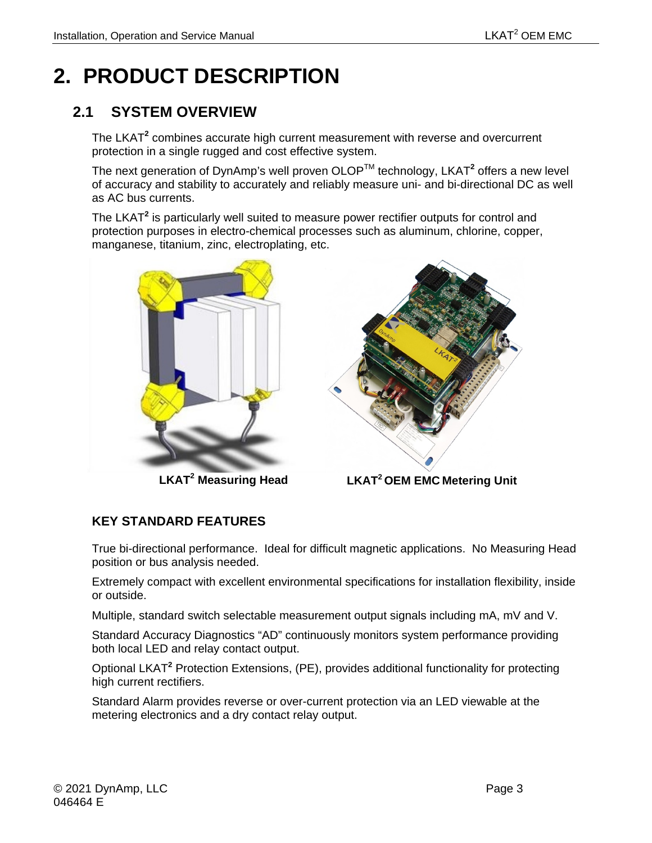# <span id="page-16-0"></span>**2. PRODUCT DESCRIPTION**

## <span id="page-16-1"></span>**2.1 SYSTEM OVERVIEW**

The LKAT**<sup>2</sup>** combines accurate high current measurement with reverse and overcurrent protection in a single rugged and cost effective system.

The next generation of DynAmp's well proven OLOPTM technology, LKAT**<sup>2</sup>** offers a new level of accuracy and stability to accurately and reliably measure uni- and bi-directional DC as well as AC bus currents.

The LKAT**<sup>2</sup>** is particularly well suited to measure power rectifier outputs for control and protection purposes in electro-chemical processes such as aluminum, chlorine, copper, manganese, titanium, zinc, electroplating, etc.



**LKAT<sup>2</sup> Measuring Head**



 **LKAT2 OEM EMC Metering Unit**

## **KEY STANDARD FEATURES**

True bi-directional performance. Ideal for difficult magnetic applications. No Measuring Head position or bus analysis needed.

Extremely compact with excellent environmental specifications for installation flexibility, inside or outside.

Multiple, standard switch selectable measurement output signals including mA, mV and V.

Standard Accuracy Diagnostics "AD" continuously monitors system performance providing both local LED and relay contact output.

Optional LKAT**<sup>2</sup>** Protection Extensions, (PE), provides additional functionality for protecting high current rectifiers.

Standard Alarm provides reverse or over-current protection via an LED viewable at the metering electronics and a dry contact relay output.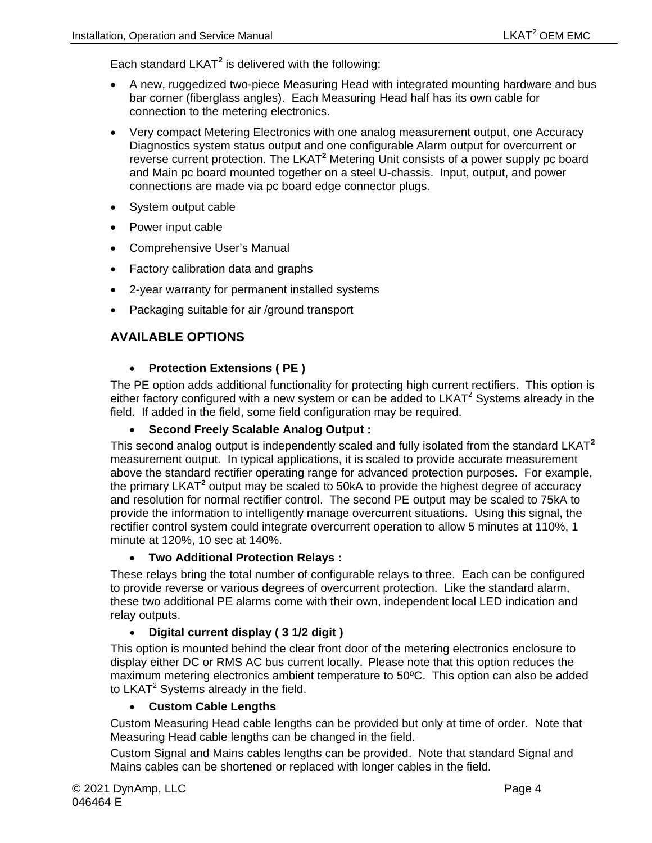Each standard LKAT**<sup>2</sup>** is delivered with the following:

- A new, ruggedized two-piece Measuring Head with integrated mounting hardware and bus bar corner (fiberglass angles). Each Measuring Head half has its own cable for connection to the metering electronics.
- Very compact Metering Electronics with one analog measurement output, one Accuracy Diagnostics system status output and one configurable Alarm output for overcurrent or reverse current protection. The LKAT**<sup>2</sup>** Metering Unit consists of a power supply pc board and Main pc board mounted together on a steel U-chassis. Input, output, and power connections are made via pc board edge connector plugs.
- System output cable
- Power input cable
- Comprehensive User's Manual
- Factory calibration data and graphs
- 2-year warranty for permanent installed systems
- Packaging suitable for air /ground transport

#### **AVAILABLE OPTIONS**

#### • **Protection Extensions ( PE )**

The PE option adds additional functionality for protecting high current rectifiers. This option is either factory configured with a new system or can be added to  $LKAT<sup>2</sup>$  Systems already in the field. If added in the field, some field configuration may be required.

#### • **Second Freely Scalable Analog Output :**

This second analog output is independently scaled and fully isolated from the standard LKAT**<sup>2</sup>** measurement output. In typical applications, it is scaled to provide accurate measurement above the standard rectifier operating range for advanced protection purposes. For example, the primary LKAT**<sup>2</sup>** output may be scaled to 50kA to provide the highest degree of accuracy and resolution for normal rectifier control. The second PE output may be scaled to 75kA to provide the information to intelligently manage overcurrent situations. Using this signal, the rectifier control system could integrate overcurrent operation to allow 5 minutes at 110%, 1 minute at 120%, 10 sec at 140%.

#### • **Two Additional Protection Relays :**

These relays bring the total number of configurable relays to three. Each can be configured to provide reverse or various degrees of overcurrent protection. Like the standard alarm, these two additional PE alarms come with their own, independent local LED indication and relay outputs.

#### • **Digital current display ( 3 1/2 digit )**

This option is mounted behind the clear front door of the metering electronics enclosure to display either DC or RMS AC bus current locally. Please note that this option reduces the maximum metering electronics ambient temperature to 50ºC. This option can also be added to LKAT $2$  Systems already in the field.

#### • **Custom Cable Lengths**

Custom Measuring Head cable lengths can be provided but only at time of order. Note that Measuring Head cable lengths can be changed in the field.

Custom Signal and Mains cables lengths can be provided. Note that standard Signal and Mains cables can be shortened or replaced with longer cables in the field.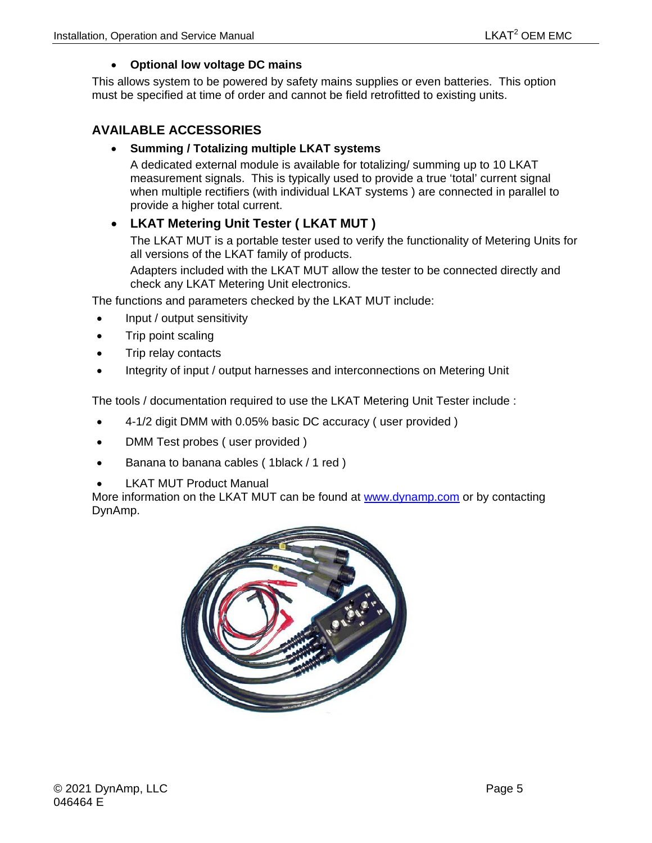#### • **Optional low voltage DC mains**

This allows system to be powered by safety mains supplies or even batteries. This option must be specified at time of order and cannot be field retrofitted to existing units.

### **AVAILABLE ACCESSORIES**

#### • **Summing / Totalizing multiple LKAT systems**

A dedicated external module is available for totalizing/ summing up to 10 LKAT measurement signals. This is typically used to provide a true 'total' current signal when multiple rectifiers (with individual LKAT systems ) are connected in parallel to provide a higher total current.

## • **LKAT Metering Unit Tester ( LKAT MUT )**

The LKAT MUT is a portable tester used to verify the functionality of Metering Units for all versions of the LKAT family of products.

Adapters included with the LKAT MUT allow the tester to be connected directly and check any LKAT Metering Unit electronics.

The functions and parameters checked by the LKAT MUT include:

- Input / output sensitivity
- Trip point scaling
- Trip relay contacts
- Integrity of input / output harnesses and interconnections on Metering Unit

The tools / documentation required to use the LKAT Metering Unit Tester include :

- 4-1/2 digit DMM with 0.05% basic DC accuracy ( user provided )
- DMM Test probes ( user provided )
- Banana to banana cables ( 1black / 1 red )
- **LKAT MUT Product Manual**

More information on the LKAT MUT can be found at [www.dynamp.com](http://www.dynamp.com/) or by contacting DynAmp.

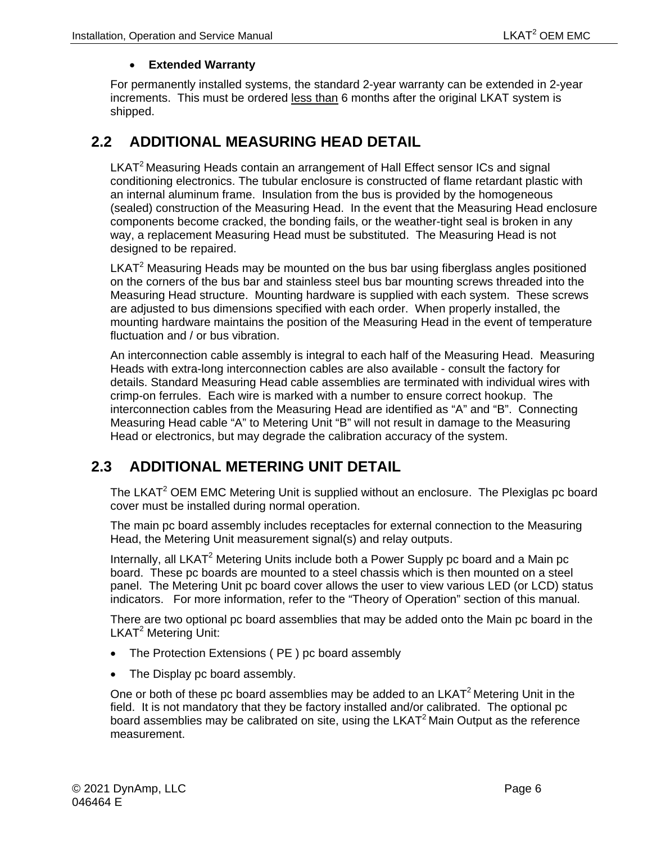#### • **Extended Warranty**

For permanently installed systems, the standard 2-year warranty can be extended in 2-year increments. This must be ordered less than 6 months after the original LKAT system is shipped.

## <span id="page-19-0"></span>**2.2 ADDITIONAL MEASURING HEAD DETAIL**

LKAT<sup>2</sup> Measuring Heads contain an arrangement of Hall Effect sensor ICs and signal conditioning electronics. The tubular enclosure is constructed of flame retardant plastic with an internal aluminum frame. Insulation from the bus is provided by the homogeneous (sealed) construction of the Measuring Head. In the event that the Measuring Head enclosure components become cracked, the bonding fails, or the weather-tight seal is broken in any way, a replacement Measuring Head must be substituted. The Measuring Head is not designed to be repaired.

LKAT $2$  Measuring Heads may be mounted on the bus bar using fiberglass angles positioned on the corners of the bus bar and stainless steel bus bar mounting screws threaded into the Measuring Head structure. Mounting hardware is supplied with each system. These screws are adjusted to bus dimensions specified with each order. When properly installed, the mounting hardware maintains the position of the Measuring Head in the event of temperature fluctuation and / or bus vibration.

An interconnection cable assembly is integral to each half of the Measuring Head. Measuring Heads with extra-long interconnection cables are also available - consult the factory for details. Standard Measuring Head cable assemblies are terminated with individual wires with crimp-on ferrules. Each wire is marked with a number to ensure correct hookup. The interconnection cables from the Measuring Head are identified as "A" and "B". Connecting Measuring Head cable "A" to Metering Unit "B" will not result in damage to the Measuring Head or electronics, but may degrade the calibration accuracy of the system.

## <span id="page-19-1"></span>**2.3 ADDITIONAL METERING UNIT DETAIL**

The LKAT<sup>2</sup> OEM EMC Metering Unit is supplied without an enclosure. The Plexiglas pc board cover must be installed during normal operation.

The main pc board assembly includes receptacles for external connection to the Measuring Head, the Metering Unit measurement signal(s) and relay outputs.

Internally, all LKAT<sup>2</sup> Metering Units include both a Power Supply pc board and a Main pc board. These pc boards are mounted to a steel chassis which is then mounted on a steel panel. The Metering Unit pc board cover allows the user to view various LED (or LCD) status indicators. For more information, refer to the "Theory of Operation" section of this manual.

There are two optional pc board assemblies that may be added onto the Main pc board in the LKAT<sup>2</sup> Metering Unit:

- The Protection Extensions ( PE ) pc board assembly
- The Display pc board assembly.

One or both of these pc board assemblies may be added to an  $LKAT<sup>2</sup>$  Metering Unit in the field. It is not mandatory that they be factory installed and/or calibrated. The optional pc board assemblies may be calibrated on site, using the LKAT<sup>2</sup> Main Output as the reference measurement.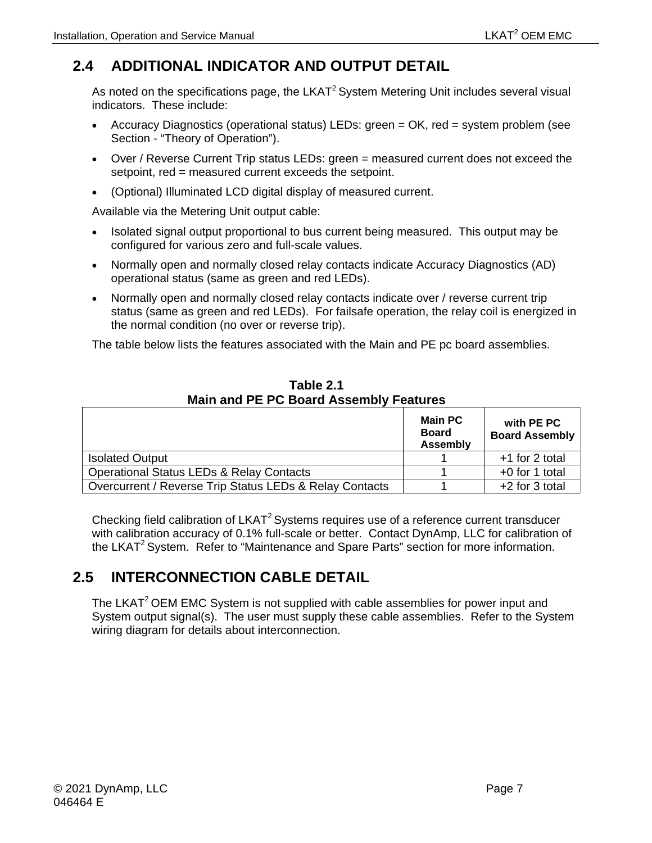# <span id="page-20-0"></span>**2.4 ADDITIONAL INDICATOR AND OUTPUT DETAIL**

As noted on the specifications page, the  $LKAT<sup>2</sup>$  System Metering Unit includes several visual indicators. These include:

- Accuracy Diagnostics (operational status) LEDs: green = OK, red = system problem (see Section - "Theory of Operation").
- Over / Reverse Current Trip status LEDs: green = measured current does not exceed the setpoint, red = measured current exceeds the setpoint.
- (Optional) Illuminated LCD digital display of measured current.

Available via the Metering Unit output cable:

- Isolated signal output proportional to bus current being measured. This output may be configured for various zero and full-scale values.
- Normally open and normally closed relay contacts indicate Accuracy Diagnostics (AD) operational status (same as green and red LEDs).
- Normally open and normally closed relay contacts indicate over / reverse current trip status (same as green and red LEDs). For failsafe operation, the relay coil is energized in the normal condition (no over or reverse trip).

The table below lists the features associated with the Main and PE pc board assemblies.

<span id="page-20-2"></span>

|                                                         | <b>Main PC</b><br><b>Board</b><br><b>Assembly</b> | with PE PC<br><b>Board Assembly</b> |
|---------------------------------------------------------|---------------------------------------------------|-------------------------------------|
| <b>Isolated Output</b>                                  |                                                   | $+1$ for 2 total                    |
| <b>Operational Status LEDs &amp; Relay Contacts</b>     |                                                   | $+0$ for 1 total                    |
| Overcurrent / Reverse Trip Status LEDs & Relay Contacts |                                                   | $+2$ for 3 total                    |

**Table 2.1 Main and PE PC Board Assembly Features**

Checking field calibration of LKAT<sup>2</sup> Systems requires use of a reference current transducer with calibration accuracy of 0.1% full-scale or better. Contact DynAmp, LLC for calibration of the LKAT<sup>2</sup> System. Refer to "Maintenance and Spare Parts" section for more information.

# <span id="page-20-1"></span>**2.5 INTERCONNECTION CABLE DETAIL**

The LKAT<sup>2</sup> OEM EMC System is not supplied with cable assemblies for power input and System output signal(s). The user must supply these cable assemblies. Refer to the System wiring diagram for details about interconnection.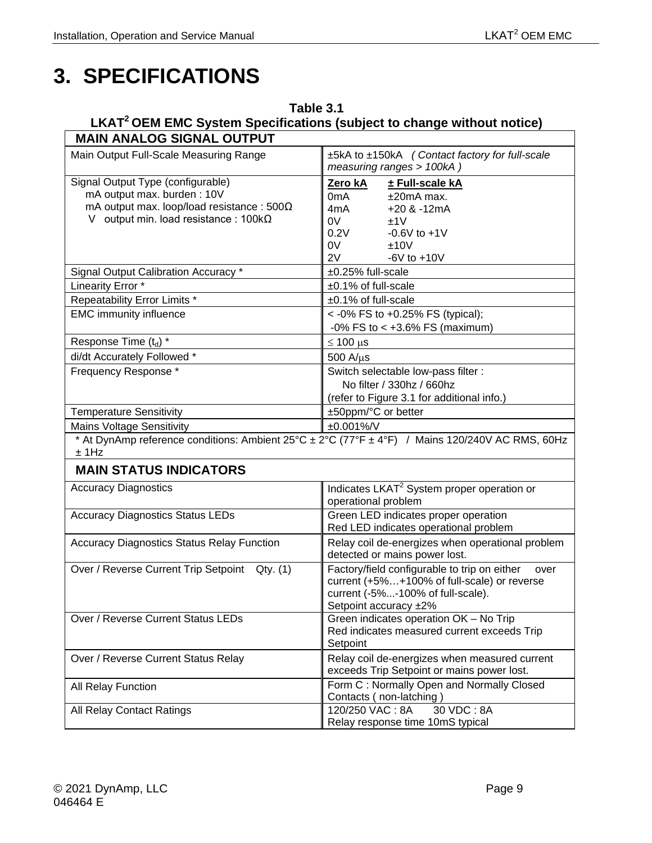# <span id="page-22-0"></span>**3. SPECIFICATIONS**

### <span id="page-22-1"></span>**Table 3.1 LKAT2 OEM EMC System Specifications (subject to change without notice) MAIN ANALOG SIGNAL OUTPUT**

| www.communication.com                             |                                                                                                                                                                   |  |  |
|---------------------------------------------------|-------------------------------------------------------------------------------------------------------------------------------------------------------------------|--|--|
| Main Output Full-Scale Measuring Range            | ±5kA to ±150kA (Contact factory for full-scale<br>measuring ranges > 100kA)                                                                                       |  |  |
| Signal Output Type (configurable)                 | Zero kA<br>± Full-scale kA                                                                                                                                        |  |  |
| mA output max. burden: 10V                        | 0 <sub>m</sub> A<br>$±20mA$ max.                                                                                                                                  |  |  |
| mA output max. loop/load resistance: $500\Omega$  | 4mA<br>$+20$ & $-12mA$                                                                                                                                            |  |  |
| V output min. load resistance : $100k\Omega$      | 0V<br>±1V                                                                                                                                                         |  |  |
|                                                   | 0.2V<br>$-0.6V$ to $+1V$                                                                                                                                          |  |  |
|                                                   | 0V<br>±10V                                                                                                                                                        |  |  |
|                                                   | 2V<br>$-6V$ to $+10V$                                                                                                                                             |  |  |
| Signal Output Calibration Accuracy *              | ±0.25% full-scale                                                                                                                                                 |  |  |
| Linearity Error *                                 | ±0.1% of full-scale                                                                                                                                               |  |  |
| Repeatability Error Limits *                      | ±0.1% of full-scale                                                                                                                                               |  |  |
| <b>EMC immunity influence</b>                     | <- 0% FS to +0.25% FS (typical);                                                                                                                                  |  |  |
|                                                   | $-0\%$ FS to < $+3.6\%$ FS (maximum)                                                                                                                              |  |  |
| Response Time (t <sub>d</sub> ) *                 | $\leq 100 \,\mu s$                                                                                                                                                |  |  |
| di/dt Accurately Followed *                       | 500 A/µs                                                                                                                                                          |  |  |
| Frequency Response *                              | Switch selectable low-pass filter :                                                                                                                               |  |  |
|                                                   | No filter / 330hz / 660hz                                                                                                                                         |  |  |
|                                                   | (refer to Figure 3.1 for additional info.)                                                                                                                        |  |  |
| <b>Temperature Sensitivity</b>                    | ±50ppm/°C or better                                                                                                                                               |  |  |
| <b>Mains Voltage Sensitivity</b>                  | ±0.001%/V                                                                                                                                                         |  |  |
| $±$ 1Hz                                           | * At DynAmp reference conditions: Ambient 25°C ± 2°C (77°F ± 4°F) / Mains 120/240V AC RMS, 60Hz                                                                   |  |  |
| <b>MAIN STATUS INDICATORS</b>                     |                                                                                                                                                                   |  |  |
| <b>Accuracy Diagnostics</b>                       | Indicates LKAT <sup>2</sup> System proper operation or<br>operational problem                                                                                     |  |  |
| <b>Accuracy Diagnostics Status LEDs</b>           | Green LED indicates proper operation                                                                                                                              |  |  |
|                                                   | Red LED indicates operational problem                                                                                                                             |  |  |
| <b>Accuracy Diagnostics Status Relay Function</b> | Relay coil de-energizes when operational problem<br>detected or mains power lost.                                                                                 |  |  |
| Over / Reverse Current Trip Setpoint Qty. (1)     | Factory/field configurable to trip on either<br>over<br>current (+5%+100% of full-scale) or reverse<br>current (-5%-100% of full-scale).<br>Setpoint accuracy ±2% |  |  |
| Over / Reverse Current Status LEDs                | Green indicates operation OK - No Trip<br>Red indicates measured current exceeds Trip<br>Setpoint                                                                 |  |  |
| Over / Reverse Current Status Relay               | Relay coil de-energizes when measured current<br>exceeds Trip Setpoint or mains power lost.                                                                       |  |  |
| All Relay Function                                | Form C: Normally Open and Normally Closed<br>Contacts (non-latching)                                                                                              |  |  |
| All Relay Contact Ratings                         | 120/250 VAC: 8A<br>30 VDC: 8A<br>Relay response time 10mS typical                                                                                                 |  |  |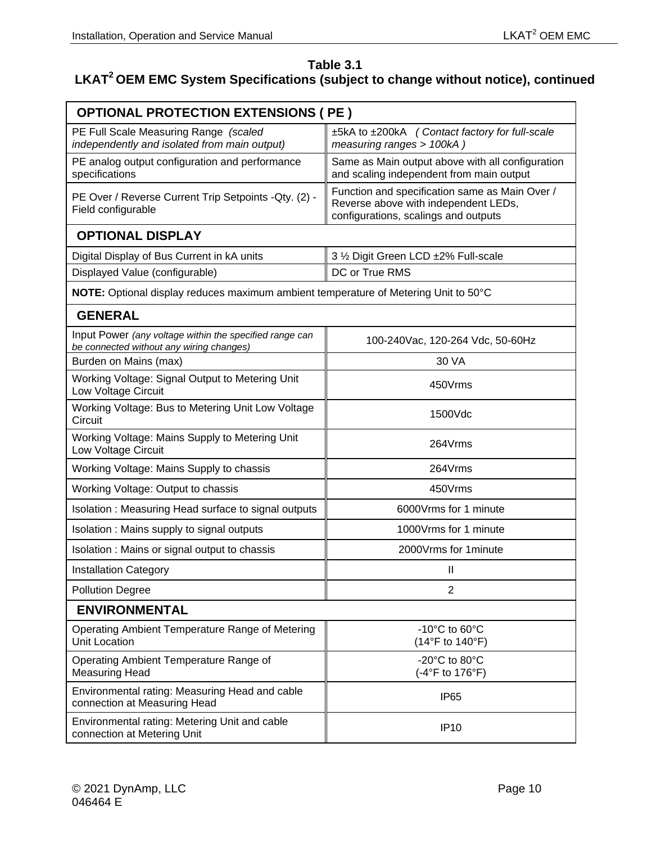## **Table 3.1**

# LKAT<sup>2</sup> OEM EMC System Specifications (subject to change without notice), continued

| <b>OPTIONAL PROTECTION EXTENSIONS ( PE )</b>                                                        |                                                                                                                                |  |  |
|-----------------------------------------------------------------------------------------------------|--------------------------------------------------------------------------------------------------------------------------------|--|--|
| PE Full Scale Measuring Range (scaled<br>independently and isolated from main output)               | ±5kA to ±200kA (Contact factory for full-scale<br>measuring ranges > 100kA)                                                    |  |  |
| PE analog output configuration and performance<br>specifications                                    | Same as Main output above with all configuration<br>and scaling independent from main output                                   |  |  |
| PE Over / Reverse Current Trip Setpoints - Qty. (2) -<br>Field configurable                         | Function and specification same as Main Over /<br>Reverse above with independent LEDs,<br>configurations, scalings and outputs |  |  |
| <b>OPTIONAL DISPLAY</b>                                                                             |                                                                                                                                |  |  |
| Digital Display of Bus Current in kA units                                                          | 3 1/2 Digit Green LCD ±2% Full-scale                                                                                           |  |  |
| Displayed Value (configurable)                                                                      | DC or True RMS                                                                                                                 |  |  |
| NOTE: Optional display reduces maximum ambient temperature of Metering Unit to 50°C                 |                                                                                                                                |  |  |
| <b>GENERAL</b>                                                                                      |                                                                                                                                |  |  |
| Input Power (any voltage within the specified range can<br>be connected without any wiring changes) | 100-240Vac, 120-264 Vdc, 50-60Hz                                                                                               |  |  |
| Burden on Mains (max)                                                                               | 30 VA                                                                                                                          |  |  |
| Working Voltage: Signal Output to Metering Unit<br>Low Voltage Circuit                              | 450Vrms                                                                                                                        |  |  |
| Working Voltage: Bus to Metering Unit Low Voltage<br>Circuit                                        | 1500Vdc                                                                                                                        |  |  |
| Working Voltage: Mains Supply to Metering Unit<br>Low Voltage Circuit                               | 264Vrms                                                                                                                        |  |  |
| Working Voltage: Mains Supply to chassis                                                            | 264Vrms                                                                                                                        |  |  |
| Working Voltage: Output to chassis                                                                  | 450Vrms                                                                                                                        |  |  |
| Isolation: Measuring Head surface to signal outputs                                                 | 6000Vrms for 1 minute                                                                                                          |  |  |
| Isolation : Mains supply to signal outputs                                                          | 1000Vrms for 1 minute                                                                                                          |  |  |
| Isolation: Mains or signal output to chassis                                                        | 2000Vrms for 1minute                                                                                                           |  |  |
| <b>Installation Category</b>                                                                        | $\mathsf{I}$                                                                                                                   |  |  |
| <b>Pollution Degree</b>                                                                             | $\overline{2}$                                                                                                                 |  |  |
| <b>ENVIRONMENTAL</b>                                                                                |                                                                                                                                |  |  |
| Operating Ambient Temperature Range of Metering<br>Unit Location                                    | $-10^{\circ}$ C to 60 $^{\circ}$ C<br>(14°F to 140°F)                                                                          |  |  |
| Operating Ambient Temperature Range of<br><b>Measuring Head</b>                                     | -20°C to 80°C<br>(-4°F to 176°F)                                                                                               |  |  |
| Environmental rating: Measuring Head and cable<br>connection at Measuring Head                      | IP65                                                                                                                           |  |  |
| Environmental rating: Metering Unit and cable<br>connection at Metering Unit                        | <b>IP10</b>                                                                                                                    |  |  |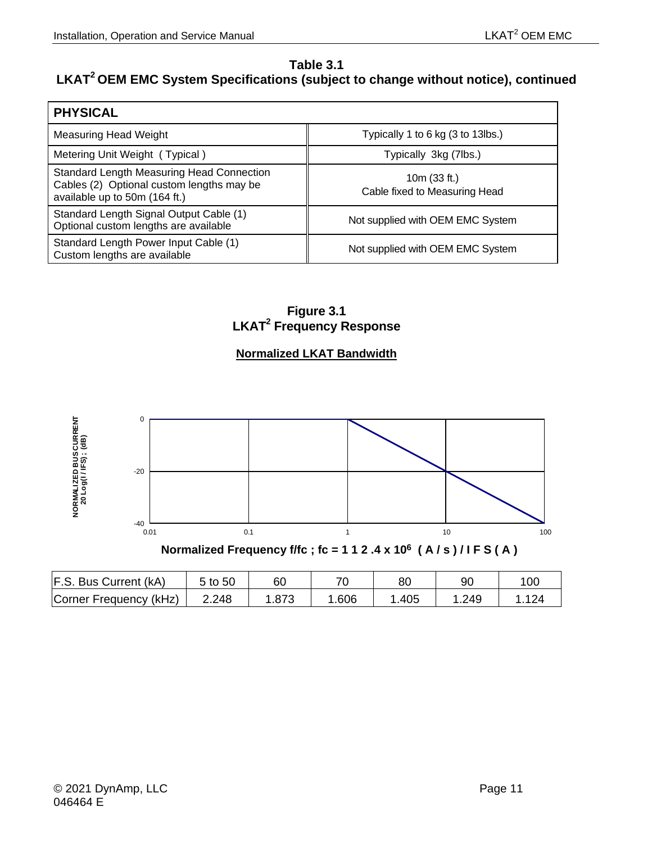## **Table 3.1**

## **LKAT2 OEM EMC System Specifications (subject to change without notice), continued**

| <b>PHYSICAL</b>                                                                                                         |                                                 |
|-------------------------------------------------------------------------------------------------------------------------|-------------------------------------------------|
| Measuring Head Weight                                                                                                   | Typically 1 to 6 kg (3 to 13lbs.)               |
| Metering Unit Weight (Typical)                                                                                          | Typically 3kg (7lbs.)                           |
| Standard Length Measuring Head Connection<br>Cables (2) Optional custom lengths may be<br>available up to 50m (164 ft.) | 10 $m(33 ft.)$<br>Cable fixed to Measuring Head |
| Standard Length Signal Output Cable (1)<br>Optional custom lengths are available                                        | Not supplied with OEM EMC System                |
| Standard Length Power Input Cable (1)<br>Custom lengths are available                                                   | Not supplied with OEM EMC System                |

**Figure 3.1 LKAT2 Frequency Response**

## **Normalized LKAT Bandwidth**

<span id="page-24-0"></span>

| Normalized Frequency f/fc; $fc = 112.4 \times 10^6 (A/s)/IF S(A)$ |  |
|-------------------------------------------------------------------|--|
|-------------------------------------------------------------------|--|

| F.S. Bus Current (kA)  | $5$ to $50$ | 60   | 70   | 80   | 90   | 10 <sub>C</sub> |
|------------------------|-------------|------|------|------|------|-----------------|
| Corner Frequency (kHz) | 2.248       | .873 | .606 | .405 | .249 |                 |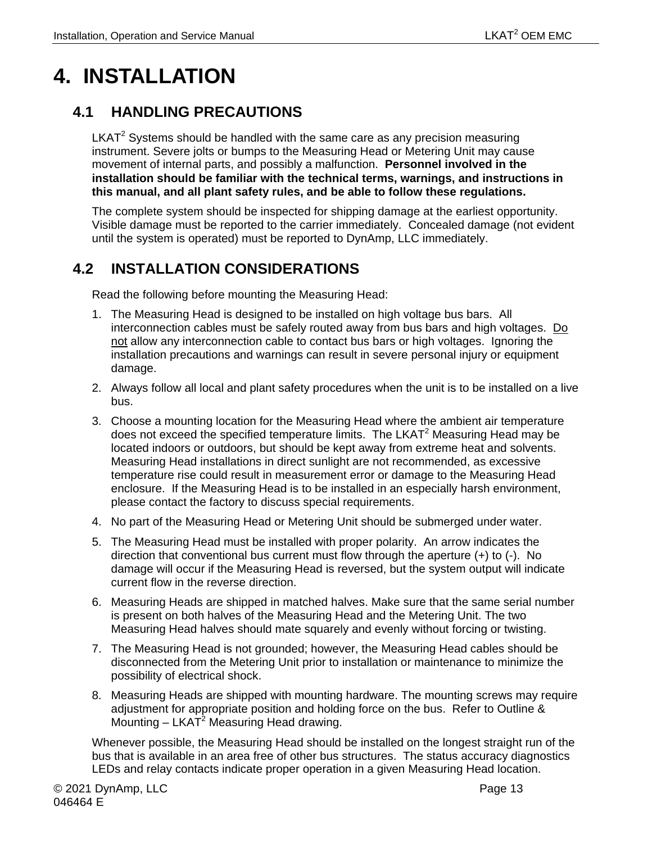# <span id="page-26-0"></span>**4. INSTALLATION**

## <span id="page-26-1"></span>**4.1 HANDLING PRECAUTIONS**

 $LKAT<sup>2</sup>$  Systems should be handled with the same care as any precision measuring instrument. Severe jolts or bumps to the Measuring Head or Metering Unit may cause movement of internal parts, and possibly a malfunction. **Personnel involved in the installation should be familiar with the technical terms, warnings, and instructions in this manual, and all plant safety rules, and be able to follow these regulations.**

The complete system should be inspected for shipping damage at the earliest opportunity. Visible damage must be reported to the carrier immediately. Concealed damage (not evident until the system is operated) must be reported to DynAmp, LLC immediately.

# <span id="page-26-2"></span>**4.2 INSTALLATION CONSIDERATIONS**

Read the following before mounting the Measuring Head:

- 1. The Measuring Head is designed to be installed on high voltage bus bars. All interconnection cables must be safely routed away from bus bars and high voltages. Do not allow any interconnection cable to contact bus bars or high voltages. Ignoring the installation precautions and warnings can result in severe personal injury or equipment damage.
- 2. Always follow all local and plant safety procedures when the unit is to be installed on a live bus.
- 3. Choose a mounting location for the Measuring Head where the ambient air temperature does not exceed the specified temperature limits. The LKAT<sup>2</sup> Measuring Head may be located indoors or outdoors, but should be kept away from extreme heat and solvents. Measuring Head installations in direct sunlight are not recommended, as excessive temperature rise could result in measurement error or damage to the Measuring Head enclosure. If the Measuring Head is to be installed in an especially harsh environment, please contact the factory to discuss special requirements.
- 4. No part of the Measuring Head or Metering Unit should be submerged under water.
- 5. The Measuring Head must be installed with proper polarity. An arrow indicates the direction that conventional bus current must flow through the aperture (+) to (-). No damage will occur if the Measuring Head is reversed, but the system output will indicate current flow in the reverse direction.
- 6. Measuring Heads are shipped in matched halves. Make sure that the same serial number is present on both halves of the Measuring Head and the Metering Unit. The two Measuring Head halves should mate squarely and evenly without forcing or twisting.
- 7. The Measuring Head is not grounded; however, the Measuring Head cables should be disconnected from the Metering Unit prior to installation or maintenance to minimize the possibility of electrical shock.
- 8. Measuring Heads are shipped with mounting hardware. The mounting screws may require adjustment for appropriate position and holding force on the bus. Refer to Outline & Mounting  $-$  LKAT<sup>2</sup> Measuring Head drawing.

Whenever possible, the Measuring Head should be installed on the longest straight run of the bus that is available in an area free of other bus structures. The status accuracy diagnostics LEDs and relay contacts indicate proper operation in a given Measuring Head location.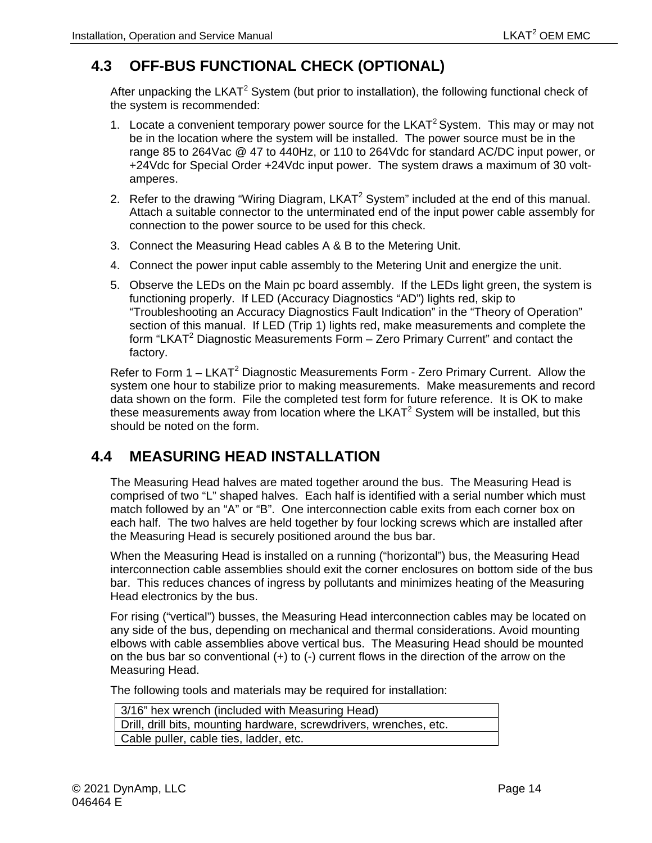# <span id="page-27-0"></span>**4.3 OFF-BUS FUNCTIONAL CHECK (OPTIONAL)**

After unpacking the LKAT<sup>2</sup> System (but prior to installation), the following functional check of the system is recommended:

- 1. Locate a convenient temporary power source for the LKAT<sup>2</sup> System. This may or may not be in the location where the system will be installed. The power source must be in the range 85 to 264Vac @ 47 to 440Hz, or 110 to 264Vdc for standard AC/DC input power, or +24Vdc for Special Order +24Vdc input power. The system draws a maximum of 30 voltamperes.
- 2. Refer to the drawing "Wiring Diagram, LKAT<sup>2</sup> System" included at the end of this manual. Attach a suitable connector to the unterminated end of the input power cable assembly for connection to the power source to be used for this check.
- 3. Connect the Measuring Head cables A & B to the Metering Unit.
- 4. Connect the power input cable assembly to the Metering Unit and energize the unit.
- 5. Observe the LEDs on the Main pc board assembly. If the LEDs light green, the system is functioning properly. If LED (Accuracy Diagnostics "AD") lights red, skip to "Troubleshooting an Accuracy Diagnostics Fault Indication" in the "Theory of Operation" section of this manual. If LED (Trip 1) lights red, make measurements and complete the form "LKAT<sup>2</sup> Diagnostic Measurements Form  $-$  Zero Primary Current" and contact the factory.

Refer to Form  $1 - LKAT^2$  Diagnostic Measurements Form - Zero Primary Current. Allow the system one hour to stabilize prior to making measurements. Make measurements and record data shown on the form. File the completed test form for future reference. It is OK to make these measurements away from location where the LKAT<sup>2</sup> System will be installed, but this should be noted on the form.

## <span id="page-27-1"></span>**4.4 MEASURING HEAD INSTALLATION**

The Measuring Head halves are mated together around the bus. The Measuring Head is comprised of two "L" shaped halves. Each half is identified with a serial number which must match followed by an "A" or "B". One interconnection cable exits from each corner box on each half. The two halves are held together by four locking screws which are installed after the Measuring Head is securely positioned around the bus bar.

When the Measuring Head is installed on a running ("horizontal") bus, the Measuring Head interconnection cable assemblies should exit the corner enclosures on bottom side of the bus bar. This reduces chances of ingress by pollutants and minimizes heating of the Measuring Head electronics by the bus.

For rising ("vertical") busses, the Measuring Head interconnection cables may be located on any side of the bus, depending on mechanical and thermal considerations. Avoid mounting elbows with cable assemblies above vertical bus. The Measuring Head should be mounted on the bus bar so conventional  $(+)$  to  $(.)$  current flows in the direction of the arrow on the Measuring Head.

The following tools and materials may be required for installation:

| 3/16" hex wrench (included with Measuring Head)                    |  |  |  |
|--------------------------------------------------------------------|--|--|--|
| Drill, drill bits, mounting hardware, screwdrivers, wrenches, etc. |  |  |  |
| Cable puller, cable ties, ladder, etc.                             |  |  |  |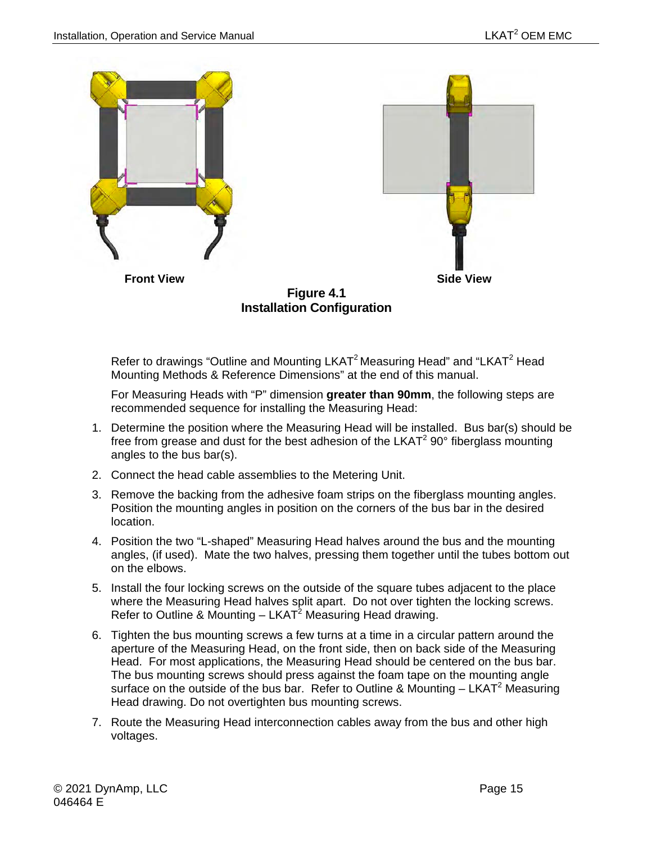

<span id="page-28-0"></span>Refer to drawings "Outline and Mounting LKAT<sup>2</sup> Measuring Head" and "LKAT<sup>2</sup> Head Mounting Methods & Reference Dimensions" at the end of this manual.

For Measuring Heads with "P" dimension **greater than 90mm**, the following steps are recommended sequence for installing the Measuring Head:

- 1. Determine the position where the Measuring Head will be installed. Bus bar(s) should be free from grease and dust for the best adhesion of the LKAT<sup>2</sup> 90° fiberglass mounting angles to the bus bar(s).
- 2. Connect the head cable assemblies to the Metering Unit.
- 3. Remove the backing from the adhesive foam strips on the fiberglass mounting angles. Position the mounting angles in position on the corners of the bus bar in the desired location.
- 4. Position the two "L-shaped" Measuring Head halves around the bus and the mounting angles, (if used). Mate the two halves, pressing them together until the tubes bottom out on the elbows.
- 5. Install the four locking screws on the outside of the square tubes adjacent to the place where the Measuring Head halves split apart. Do not over tighten the locking screws. Refer to Outline & Mounting  $-$  LKAT<sup>2</sup> Measuring Head drawing.
- 6. Tighten the bus mounting screws a few turns at a time in a circular pattern around the aperture of the Measuring Head, on the front side, then on back side of the Measuring Head. For most applications, the Measuring Head should be centered on the bus bar. The bus mounting screws should press against the foam tape on the mounting angle surface on the outside of the bus bar. Refer to Outline & Mounting  $- LKAT<sup>2</sup>$  Measuring Head drawing. Do not overtighten bus mounting screws.
- 7. Route the Measuring Head interconnection cables away from the bus and other high voltages.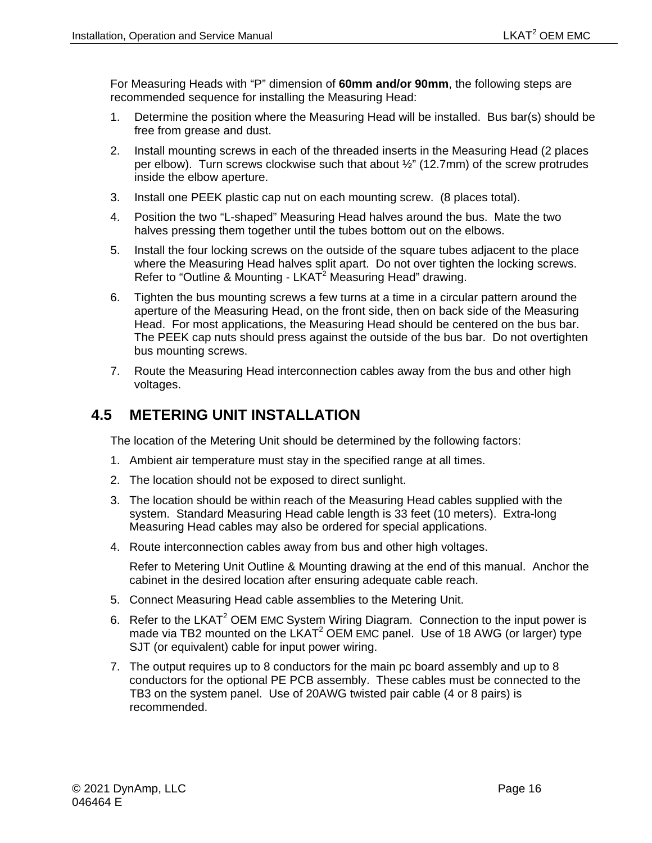For Measuring Heads with "P" dimension of **60mm and/or 90mm**, the following steps are recommended sequence for installing the Measuring Head:

- 1. Determine the position where the Measuring Head will be installed. Bus bar(s) should be free from grease and dust.
- 2. Install mounting screws in each of the threaded inserts in the Measuring Head (2 places per elbow). Turn screws clockwise such that about ½" (12.7mm) of the screw protrudes inside the elbow aperture.
- 3. Install one PEEK plastic cap nut on each mounting screw. (8 places total).
- 4. Position the two "L-shaped" Measuring Head halves around the bus. Mate the two halves pressing them together until the tubes bottom out on the elbows.
- 5. Install the four locking screws on the outside of the square tubes adjacent to the place where the Measuring Head halves split apart. Do not over tighten the locking screws. Refer to "Outline & Mounting - LKAT<sup>2</sup> Measuring Head" drawing.
- 6. Tighten the bus mounting screws a few turns at a time in a circular pattern around the aperture of the Measuring Head, on the front side, then on back side of the Measuring Head. For most applications, the Measuring Head should be centered on the bus bar. The PEEK cap nuts should press against the outside of the bus bar. Do not overtighten bus mounting screws.
- 7. Route the Measuring Head interconnection cables away from the bus and other high voltages.

## <span id="page-29-0"></span>**4.5 METERING UNIT INSTALLATION**

The location of the Metering Unit should be determined by the following factors:

- 1. Ambient air temperature must stay in the specified range at all times.
- 2. The location should not be exposed to direct sunlight.
- 3. The location should be within reach of the Measuring Head cables supplied with the system. Standard Measuring Head cable length is 33 feet (10 meters). Extra-long Measuring Head cables may also be ordered for special applications.
- 4. Route interconnection cables away from bus and other high voltages.

Refer to Metering Unit Outline & Mounting drawing at the end of this manual. Anchor the cabinet in the desired location after ensuring adequate cable reach.

- 5. Connect Measuring Head cable assemblies to the Metering Unit.
- 6. Refer to the LKAT<sup>2</sup> OEM EMC System Wiring Diagram. Connection to the input power is made via TB2 mounted on the  $LKAT^2$  OEM EMC panel. Use of 18 AWG (or larger) type SJT (or equivalent) cable for input power wiring.
- 7. The output requires up to 8 conductors for the main pc board assembly and up to 8 conductors for the optional PE PCB assembly. These cables must be connected to the TB3 on the system panel. Use of 20AWG twisted pair cable (4 or 8 pairs) is recommended.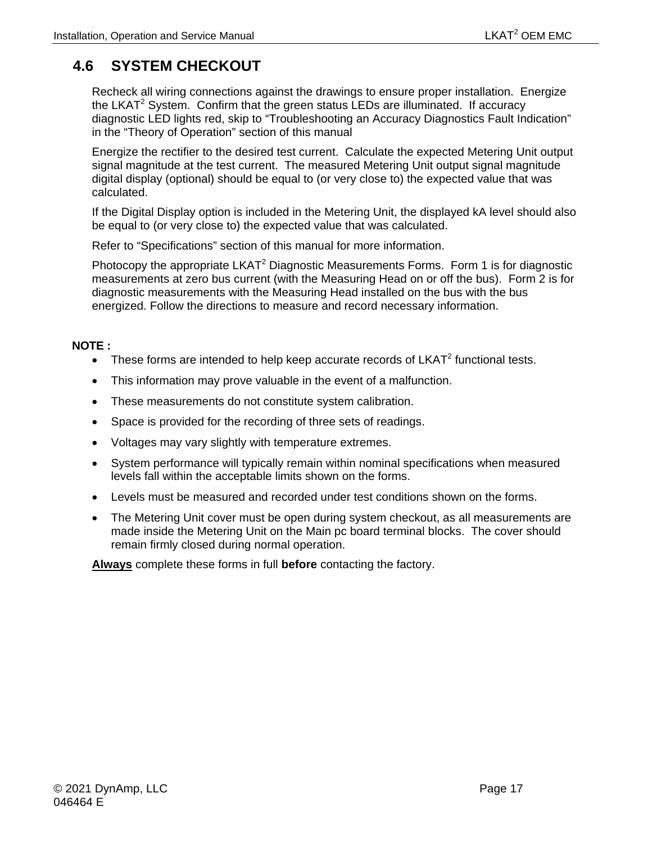# <span id="page-30-0"></span>**4.6 SYSTEM CHECKOUT**

Recheck all wiring connections against the drawings to ensure proper installation. Energize the LKAT<sup>2</sup> System. Confirm that the green status LEDs are illuminated. If accuracy diagnostic LED lights red, skip to "Troubleshooting an Accuracy Diagnostics Fault Indication" in the "Theory of Operation" section of this manual

Energize the rectifier to the desired test current. Calculate the expected Metering Unit output signal magnitude at the test current. The measured Metering Unit output signal magnitude digital display (optional) should be equal to (or very close to) the expected value that was calculated.

If the Digital Display option is included in the Metering Unit, the displayed kA level should also be equal to (or very close to) the expected value that was calculated.

Refer to "Specifications" section of this manual for more information.

Photocopy the appropriate  $LKAT^2$  Diagnostic Measurements Forms. Form 1 is for diagnostic measurements at zero bus current (with the Measuring Head on or off the bus). Form 2 is for diagnostic measurements with the Measuring Head installed on the bus with the bus energized. Follow the directions to measure and record necessary information.

#### **NOTE :**

- These forms are intended to help keep accurate records of  $LKAT^2$  functional tests.
- This information may prove valuable in the event of a malfunction.
- These measurements do not constitute system calibration.
- Space is provided for the recording of three sets of readings.
- Voltages may vary slightly with temperature extremes.
- System performance will typically remain within nominal specifications when measured levels fall within the acceptable limits shown on the forms.
- Levels must be measured and recorded under test conditions shown on the forms.
- The Metering Unit cover must be open during system checkout, as all measurements are made inside the Metering Unit on the Main pc board terminal blocks. The cover should remain firmly closed during normal operation.

**Always** complete these forms in full **before** contacting the factory.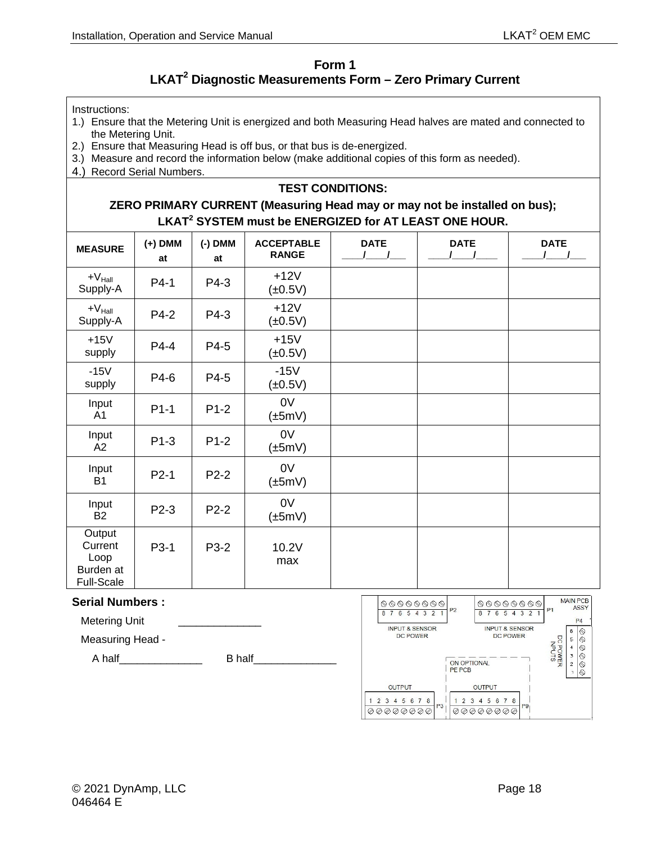#### **Form 1**

## **LKAT2 Diagnostic Measurements Form – Zero Primary Current**

<span id="page-31-0"></span>Instructions:

- 1.) Ensure that the Metering Unit is energized and both Measuring Head halves are mated and connected to the Metering Unit.
- 2.) Ensure that Measuring Head is off bus, or that bus is de-energized.
- 3.) Measure and record the information below (make additional copies of this form as needed).
- 4.) Record Serial Numbers.

#### **TEST CONDITIONS:**

#### **ZERO PRIMARY CURRENT (Measuring Head may or may not be installed on bus); LKAT<sup>2</sup> SYSTEM must be ENERGIZED for AT LEAST ONE HOUR.**

| <b>MEASURE</b>                                       | $(+)$ DMM<br>at | $(-)$ DMM<br>at | <b>ACCEPTABLE</b><br><b>RANGE</b> | <b>DATE</b><br>$\sqrt{ }$ | <b>DATE</b> | <b>DATE</b> |
|------------------------------------------------------|-----------------|-----------------|-----------------------------------|---------------------------|-------------|-------------|
| $+V_{\text{Hall}}$<br>Supply-A                       | P4-1            | P4-3            | $+12V$<br>(±0.5V)                 |                           |             |             |
| $+V_{\text{Hall}}$<br>Supply-A                       | P4-2            | P4-3            | $+12V$<br>$(\pm 0.5V)$            |                           |             |             |
| $+15V$<br>supply                                     | P4-4            | P4-5            | $+15V$<br>$(\pm 0.5V)$            |                           |             |             |
| $-15V$<br>supply                                     | P4-6            | P4-5            | $-15V$<br>$(\pm 0.5V)$            |                           |             |             |
| Input<br>A <sub>1</sub>                              | $P1-1$          | $P1-2$          | 0V<br>$(\pm 5mV)$                 |                           |             |             |
| Input<br>A2                                          | $P1-3$          | $P1-2$          | 0V<br>$(\pm 5mV)$                 |                           |             |             |
| Input<br>B <sub>1</sub>                              | $P2-1$          | P2-2            | 0 <sub>V</sub><br>$(\pm 5mV)$     |                           |             |             |
| Input<br><b>B2</b>                                   | P2-3            | $P2-2$          | 0 <sub>V</sub><br>$(\pm 5mV)$     |                           |             |             |
| Output<br>Current<br>Loop<br>Burden at<br>Full-Scale | P3-1            | P3-2            | 10.2V<br>max                      |                           |             |             |

#### **Serial Numbers :**

Metering Unit

Measuring Head -

A half\_\_\_\_\_\_\_\_\_\_\_\_\_\_ B half\_\_\_\_\_\_\_\_\_\_\_\_\_\_

| $\begin{picture}(160,170) \put(0,0){\line(1,0){100}} \put(10,0){\line(1,0){100}} \put(10,0){\line(1,0){100}} \put(10,0){\line(1,0){100}} \put(10,0){\line(1,0){100}} \put(10,0){\line(1,0){100}} \put(10,0){\line(1,0){100}} \put(10,0){\line(1,0){100}} \put(10,0){\line(1,0){100}} \put(10,0){\line(1,0){100}} \put(10,0){\line(1,0){100$<br>8<br>з<br>2<br>6<br>5 | <b>MAIN PCB</b><br>$\begin{picture}(160,170) \put(0,0){\line(1,0){100}} \put(10,0){\line(1,0){100}} \put(10,0){\line(1,0){100}} \put(10,0){\line(1,0){100}} \put(10,0){\line(1,0){100}} \put(10,0){\line(1,0){100}} \put(10,0){\line(1,0){100}} \put(10,0){\line(1,0){100}} \put(10,0){\line(1,0){100}} \put(10,0){\line(1,0){100}} \put(10,0){\line(1,0){100$<br>ASSY<br>P <sub>2</sub><br>P <sub>1</sub><br>3<br>2<br>6<br>5<br>P <sub>4</sub> |
|----------------------------------------------------------------------------------------------------------------------------------------------------------------------------------------------------------------------------------------------------------------------------------------------------------------------------------------------------------------------|--------------------------------------------------------------------------------------------------------------------------------------------------------------------------------------------------------------------------------------------------------------------------------------------------------------------------------------------------------------------------------------------------------------------------------------------------|
| <b>INPUT &amp; SENSOR</b><br><b>DC POWER</b>                                                                                                                                                                                                                                                                                                                         | <b>INPUT &amp; SENSOR</b><br>6<br><b>DC POWER</b><br>U<br>5<br>◎<br>O<br>C POWER<br>INPUTS<br>$\overline{4}$<br>3<br>ON OPTIONAL<br>$\overline{2}$<br><b>PE PCB</b>                                                                                                                                                                                                                                                                              |
| <b>OUTPUT</b>                                                                                                                                                                                                                                                                                                                                                        | <b>OUTPUT</b>                                                                                                                                                                                                                                                                                                                                                                                                                                    |
| 8<br>$\overline{2}$<br>5<br>7<br>3<br>6<br>$\Delta$<br>P <sub>3</sub><br>のプの                                                                                                                                                                                                                                                                                         | 8<br>$\mathcal{P}$<br>3<br>5<br>6<br>Δ<br>P <sub>9</sub><br>@Q                                                                                                                                                                                                                                                                                                                                                                                   |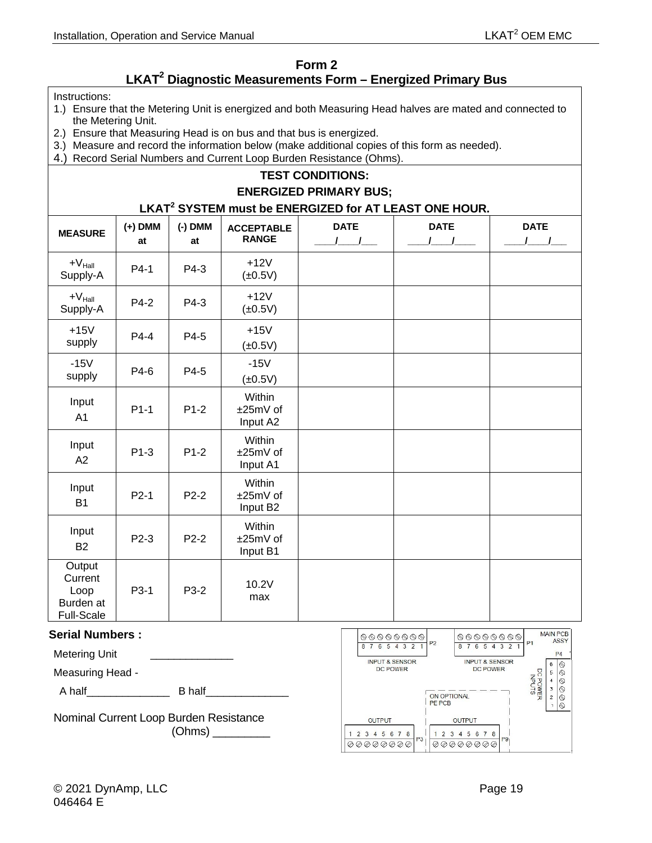### **Form 2**

## **LKAT2 Diagnostic Measurements Form – Energized Primary Bus**

<span id="page-32-0"></span>Instructions:

- 1.) Ensure that the Metering Unit is energized and both Measuring Head halves are mated and connected to the Metering Unit.
- 2.) Ensure that Measuring Head is on bus and that bus is energized.
- 3.) Measure and record the information below (make additional copies of this form as needed).
- 4.) Record Serial Numbers and Current Loop Burden Resistance (Ohms).

#### **TEST CONDITIONS:**

#### **ENERGIZED PRIMARY BUS;**

#### **LKAT<sup>2</sup> SYSTEM must be ENERGIZED for AT LEAST ONE HOUR.**

| <b>MEASURE</b>                                       | $(+)$ DMM<br>at | $(-)$ DMM<br>at | <b>ACCEPTABLE</b><br><b>RANGE</b>          | <b>DATE</b><br>$\overline{1}$ | <b>DATE</b> | <b>DATE</b><br>$1 \quad 1$ |
|------------------------------------------------------|-----------------|-----------------|--------------------------------------------|-------------------------------|-------------|----------------------------|
| $+V_{\text{Hall}}$<br>Supply-A                       | P4-1            | P4-3            | $+12V$<br>$(\pm 0.5V)$                     |                               |             |                            |
| $+V_{\text{Hall}}$<br>Supply-A                       | P4-2            | P4-3            | $+12V$<br>$(\pm 0.5V)$                     |                               |             |                            |
| $+15V$<br>supply                                     | P4-4            | P4-5            | $+15V$<br>$(\pm 0.5V)$                     |                               |             |                            |
| $-15V$<br>supply                                     | P4-6            | P4-5            | $-15V$<br>$(\pm 0.5V)$                     |                               |             |                            |
| Input<br>A <sub>1</sub>                              | $P1-1$          | $P1-2$          | Within<br>±25mV of<br>Input A2             |                               |             |                            |
| Input<br>A2                                          | $P1-3$          | $P1-2$          | Within<br>±25mV of<br>Input A1             |                               |             |                            |
| Input<br><b>B1</b>                                   | $P2-1$          | $P2-2$          | Within<br>±25mV of<br>Input B <sub>2</sub> |                               |             |                            |
| Input<br><b>B2</b>                                   | $P2-3$          | $P2-2$          | Within<br>±25mV of<br>Input B1             |                               |             |                            |
| Output<br>Current<br>Loop<br>Burden at<br>Full-Scale | P3-1            | P3-2            | 10.2V<br>max                               |                               |             |                            |

#### **Serial Numbers :**

Metering Unit

Measuring Head -

A half\_\_\_\_\_\_\_\_\_\_\_\_\_\_ B half\_\_\_\_\_\_\_\_\_\_\_\_\_\_

Nominal Current Loop Burden Resistance (Ohms) \_\_\_\_\_\_\_\_\_

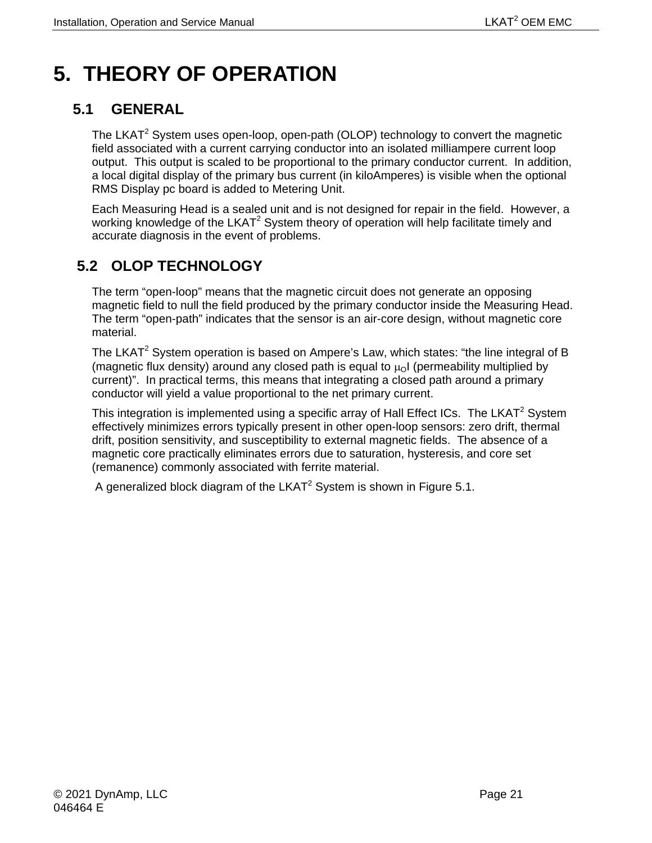# <span id="page-34-0"></span>**5. THEORY OF OPERATION**

# <span id="page-34-1"></span>**5.1 GENERAL**

The LKAT<sup>2</sup> System uses open-loop, open-path (OLOP) technology to convert the magnetic field associated with a current carrying conductor into an isolated milliampere current loop output. This output is scaled to be proportional to the primary conductor current. In addition, a local digital display of the primary bus current (in kiloAmperes) is visible when the optional RMS Display pc board is added to Metering Unit.

Each Measuring Head is a sealed unit and is not designed for repair in the field. However, a working knowledge of the LKAT<sup>2</sup> System theory of operation will help facilitate timely and accurate diagnosis in the event of problems.

# <span id="page-34-2"></span>**5.2 OLOP TECHNOLOGY**

The term "open-loop" means that the magnetic circuit does not generate an opposing magnetic field to null the field produced by the primary conductor inside the Measuring Head. The term "open-path" indicates that the sensor is an air-core design, without magnetic core material.

The LKAT<sup>2</sup> System operation is based on Ampere's Law, which states: "the line integral of B (magnetic flux density) around any closed path is equal to  $\mu_0$  (permeability multiplied by current)". In practical terms, this means that integrating a closed path around a primary conductor will yield a value proportional to the net primary current.

This integration is implemented using a specific array of Hall Effect ICs. The LKAT<sup>2</sup> System effectively minimizes errors typically present in other open-loop sensors: zero drift, thermal drift, position sensitivity, and susceptibility to external magnetic fields. The absence of a magnetic core practically eliminates errors due to saturation, hysteresis, and core set (remanence) commonly associated with ferrite material.

A generalized block diagram of the  $LKAT^2$  System is shown in Figure 5.1.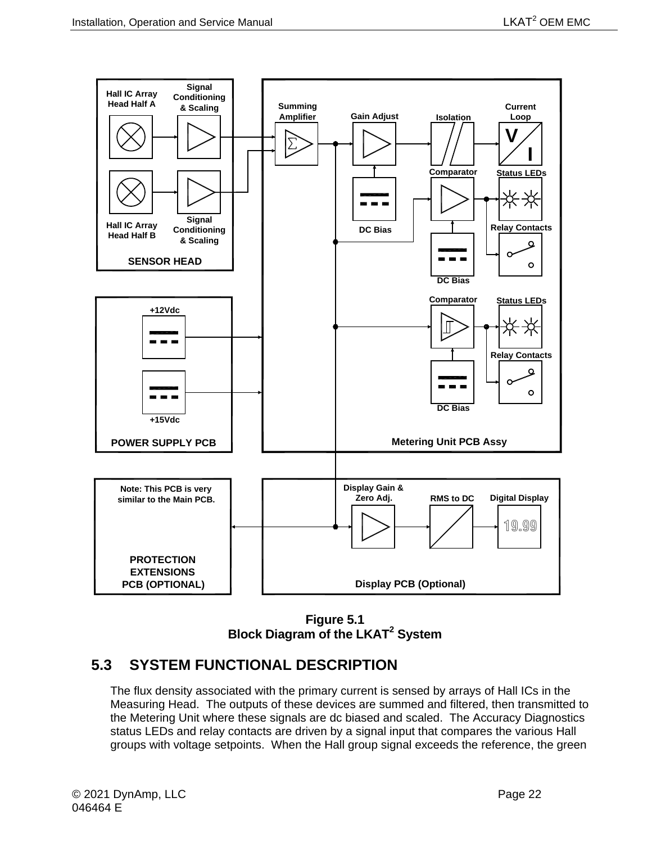

**Figure 5.1 Block Diagram of the LKAT2 System**

## <span id="page-35-1"></span><span id="page-35-0"></span>**5.3 SYSTEM FUNCTIONAL DESCRIPTION**

The flux density associated with the primary current is sensed by arrays of Hall ICs in the Measuring Head. The outputs of these devices are summed and filtered, then transmitted to the Metering Unit where these signals are dc biased and scaled. The Accuracy Diagnostics status LEDs and relay contacts are driven by a signal input that compares the various Hall groups with voltage setpoints. When the Hall group signal exceeds the reference, the green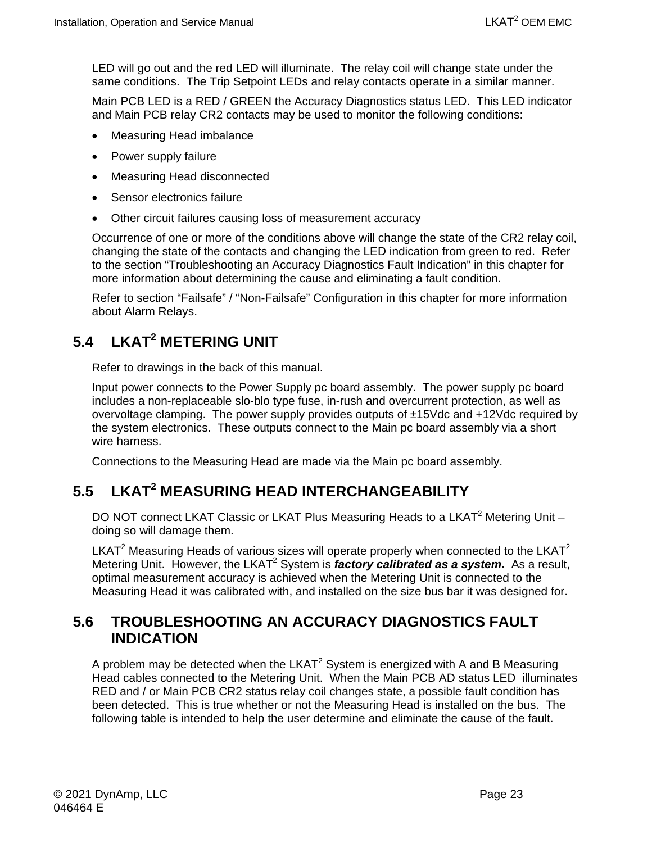LED will go out and the red LED will illuminate. The relay coil will change state under the same conditions. The Trip Setpoint LEDs and relay contacts operate in a similar manner.

Main PCB LED is a RED / GREEN the Accuracy Diagnostics status LED. This LED indicator and Main PCB relay CR2 contacts may be used to monitor the following conditions:

- Measuring Head imbalance
- Power supply failure
- Measuring Head disconnected
- Sensor electronics failure
- Other circuit failures causing loss of measurement accuracy

Occurrence of one or more of the conditions above will change the state of the CR2 relay coil, changing the state of the contacts and changing the LED indication from green to red. Refer to the section "Troubleshooting an Accuracy Diagnostics Fault Indication" in this chapter for more information about determining the cause and eliminating a fault condition.

Refer to section "Failsafe" / "Non-Failsafe" Configuration in this chapter for more information about Alarm Relays.

# <span id="page-36-0"></span>**5.4 LKAT2 METERING UNIT**

Refer to drawings in the back of this manual.

Input power connects to the Power Supply pc board assembly. The power supply pc board includes a non-replaceable slo-blo type fuse, in-rush and overcurrent protection, as well as overvoltage clamping. The power supply provides outputs of ±15Vdc and +12Vdc required by the system electronics. These outputs connect to the Main pc board assembly via a short wire harness.

Connections to the Measuring Head are made via the Main pc board assembly.

## <span id="page-36-1"></span>**5.5 LKAT2 MEASURING HEAD INTERCHANGEABILITY**

DO NOT connect LKAT Classic or LKAT Plus Measuring Heads to a LKAT<sup>2</sup> Metering Unit doing so will damage them.

LKAT<sup>2</sup> Measuring Heads of various sizes will operate properly when connected to the LKAT<sup>2</sup> Metering Unit. However, the LKAT<sup>2</sup> System is *factory calibrated as a system*. As a result, optimal measurement accuracy is achieved when the Metering Unit is connected to the Measuring Head it was calibrated with, and installed on the size bus bar it was designed for.

## <span id="page-36-2"></span>**5.6 TROUBLESHOOTING AN ACCURACY DIAGNOSTICS FAULT INDICATION**

A problem may be detected when the  $LKAT^2$  System is energized with A and B Measuring Head cables connected to the Metering Unit. When the Main PCB AD status LED illuminates RED and / or Main PCB CR2 status relay coil changes state, a possible fault condition has been detected. This is true whether or not the Measuring Head is installed on the bus. The following table is intended to help the user determine and eliminate the cause of the fault.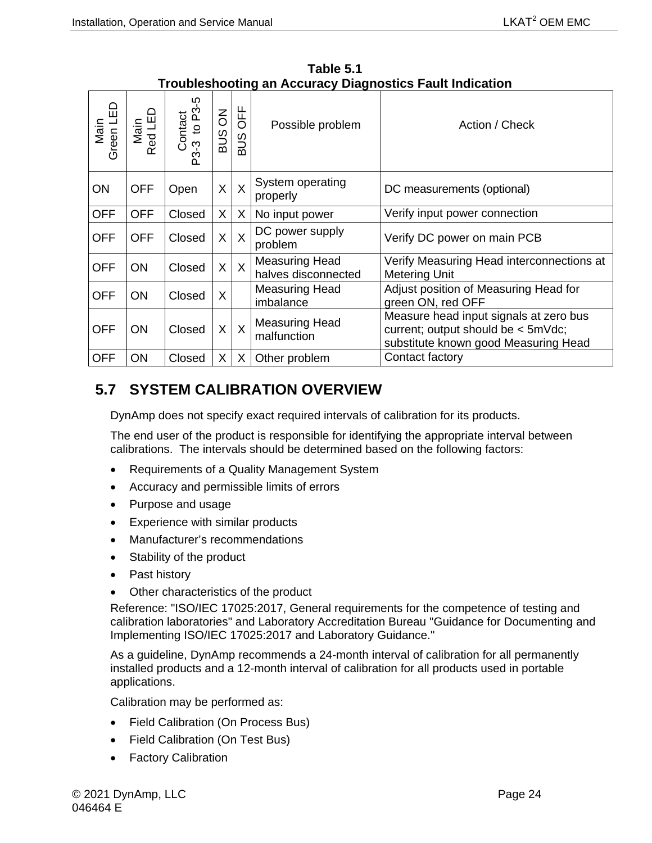<span id="page-37-1"></span>

| Green LED<br>Main | Main<br>Red LED | Contact<br>-3 to P3-5<br>P3-3 | $\overline{6}$<br><b>SUB</b> | OFF<br><b>SUB</b> | Possible problem                             | Action / Check                                                                                                       |  |  |
|-------------------|-----------------|-------------------------------|------------------------------|-------------------|----------------------------------------------|----------------------------------------------------------------------------------------------------------------------|--|--|
| <b>ON</b>         | <b>OFF</b>      | Open                          | X                            | $\sf X$           | System operating<br>properly                 | DC measurements (optional)                                                                                           |  |  |
| <b>OFF</b>        | <b>OFF</b>      | Closed                        | X                            | X                 | No input power                               | Verify input power connection                                                                                        |  |  |
| <b>OFF</b>        | <b>OFF</b>      | Closed                        | X                            | $\sf X$           | DC power supply<br>problem                   | Verify DC power on main PCB                                                                                          |  |  |
| <b>OFF</b>        | <b>ON</b>       | Closed                        | X                            | $\overline{X}$    | <b>Measuring Head</b><br>halves disconnected | Verify Measuring Head interconnections at<br><b>Metering Unit</b>                                                    |  |  |
| <b>OFF</b>        | <b>ON</b>       | Closed                        | X                            |                   | Measuring Head<br>imbalance                  | Adjust position of Measuring Head for<br>green ON, red OFF                                                           |  |  |
| <b>OFF</b>        | <b>ON</b>       | Closed                        | X                            | $\sf X$           | <b>Measuring Head</b><br>malfunction         | Measure head input signals at zero bus<br>current; output should be < 5mVdc;<br>substitute known good Measuring Head |  |  |
| <b>OFF</b>        | ON              | Closed                        | X                            | X                 | Other problem                                | Contact factory                                                                                                      |  |  |

**Table 5.1 Troubleshooting an Accuracy Diagnostics Fault Indication** 

## <span id="page-37-0"></span>**5.7 SYSTEM CALIBRATION OVERVIEW**

DynAmp does not specify exact required intervals of calibration for its products.

The end user of the product is responsible for identifying the appropriate interval between calibrations. The intervals should be determined based on the following factors:

- Requirements of a Quality Management System
- Accuracy and permissible limits of errors
- Purpose and usage
- Experience with similar products
- Manufacturer's recommendations
- Stability of the product
- Past history
- Other characteristics of the product

Reference: "ISO/IEC 17025:2017, General requirements for the competence of testing and calibration laboratories" and Laboratory Accreditation Bureau "Guidance for Documenting and Implementing ISO/IEC 17025:2017 and Laboratory Guidance."

As a guideline, DynAmp recommends a 24-month interval of calibration for all permanently installed products and a 12-month interval of calibration for all products used in portable applications.

Calibration may be performed as:

- Field Calibration (On Process Bus)
- Field Calibration (On Test Bus)
- Factory Calibration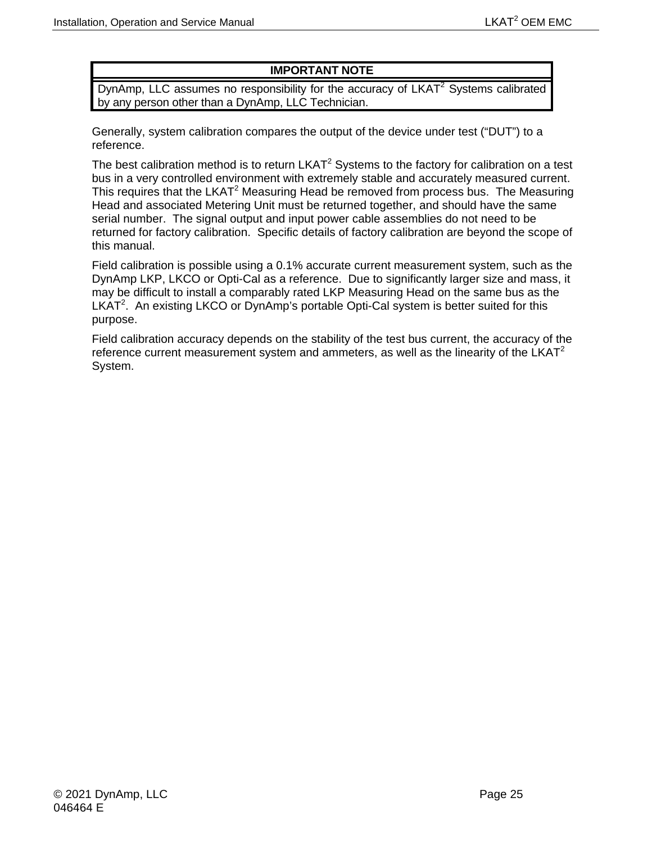### **IMPORTANT NOTE**

DynAmp, LLC assumes no responsibility for the accuracy of  $LKAT<sup>2</sup>$  Systems calibrated by any person other than a DynAmp, LLC Technician.

Generally, system calibration compares the output of the device under test ("DUT") to a reference.

The best calibration method is to return  $LKAT<sup>2</sup>$  Systems to the factory for calibration on a test bus in a very controlled environment with extremely stable and accurately measured current. This requires that the LKAT<sup>2</sup> Measuring Head be removed from process bus. The Measuring Head and associated Metering Unit must be returned together, and should have the same serial number. The signal output and input power cable assemblies do not need to be returned for factory calibration. Specific details of factory calibration are beyond the scope of this manual.

Field calibration is possible using a 0.1% accurate current measurement system, such as the DynAmp LKP, LKCO or Opti-Cal as a reference. Due to significantly larger size and mass, it may be difficult to install a comparably rated LKP Measuring Head on the same bus as the LKAT<sup>2</sup>. An existing LKCO or DynAmp's portable Opti-Cal system is better suited for this purpose.

Field calibration accuracy depends on the stability of the test bus current, the accuracy of the reference current measurement system and ammeters, as well as the linearity of the  $LKAT<sup>2</sup>$ System.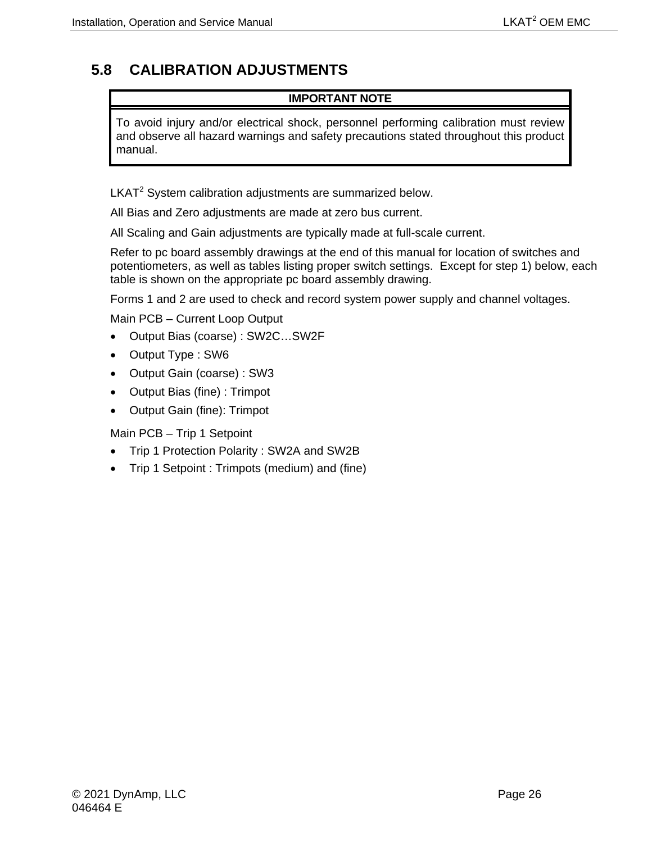# <span id="page-39-0"></span>**5.8 CALIBRATION ADJUSTMENTS**

#### **IMPORTANT NOTE**

To avoid injury and/or electrical shock, personnel performing calibration must review and observe all hazard warnings and safety precautions stated throughout this product manual.

LKAT<sup>2</sup> System calibration adjustments are summarized below.

All Bias and Zero adjustments are made at zero bus current.

All Scaling and Gain adjustments are typically made at full-scale current.

Refer to pc board assembly drawings at the end of this manual for location of switches and potentiometers, as well as tables listing proper switch settings. Except for step 1) below, each table is shown on the appropriate pc board assembly drawing.

Forms 1 and 2 are used to check and record system power supply and channel voltages.

Main PCB – Current Loop Output

- Output Bias (coarse) : SW2C…SW2F
- Output Type : SW6
- Output Gain (coarse) : SW3
- Output Bias (fine) : Trimpot
- Output Gain (fine): Trimpot

Main PCB – Trip 1 Setpoint

- Trip 1 Protection Polarity : SW2A and SW2B
- Trip 1 Setpoint : Trimpots (medium) and (fine)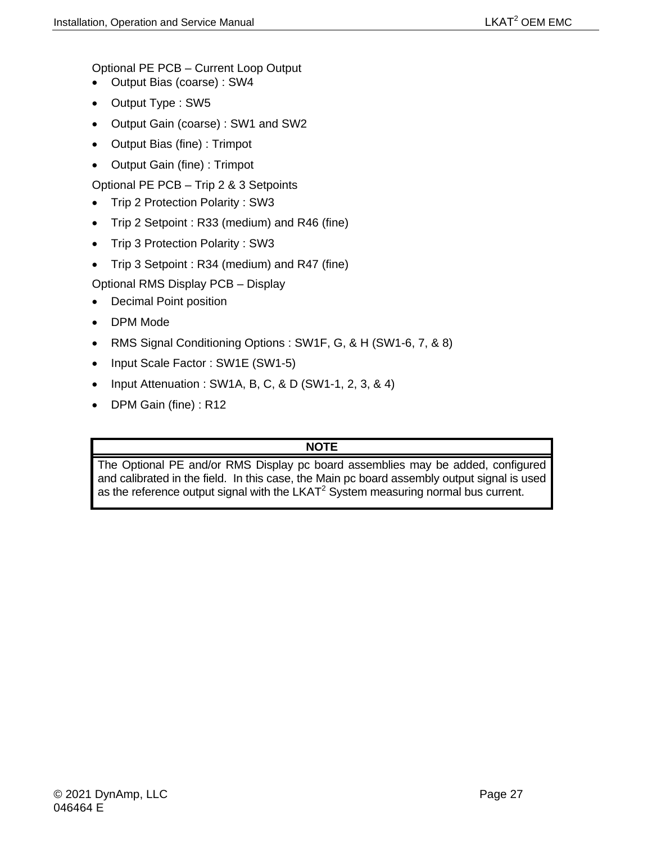Optional PE PCB – Current Loop Output

- Output Bias (coarse) : SW4
- Output Type : SW5
- Output Gain (coarse) : SW1 and SW2
- Output Bias (fine) : Trimpot
- Output Gain (fine) : Trimpot

Optional PE PCB – Trip 2 & 3 Setpoints

- Trip 2 Protection Polarity : SW3
- Trip 2 Setpoint : R33 (medium) and R46 (fine)
- Trip 3 Protection Polarity : SW3
- Trip 3 Setpoint : R34 (medium) and R47 (fine)

Optional RMS Display PCB – Display

- Decimal Point position
- DPM Mode
- RMS Signal Conditioning Options : SW1F, G, & H (SW1-6, 7, & 8)
- Input Scale Factor : SW1E (SW1-5)
- Input Attenuation : SW1A, B, C, & D (SW1-1, 2, 3, & 4)
- DPM Gain (fine) : R12

## **NOTE**

The Optional PE and/or RMS Display pc board assemblies may be added, configured and calibrated in the field. In this case, the Main pc board assembly output signal is used as the reference output signal with the  $LKAT<sup>2</sup>$  System measuring normal bus current.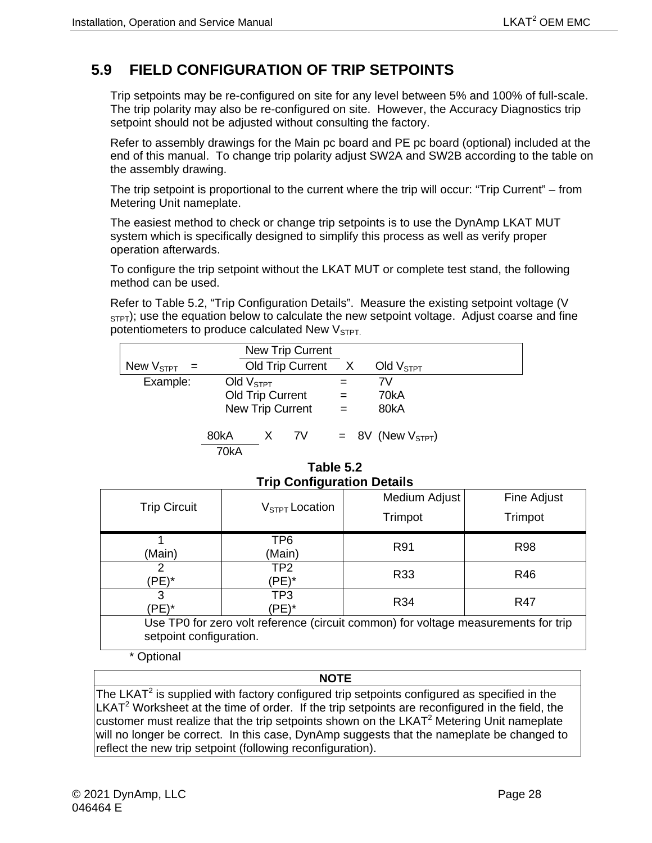# <span id="page-41-0"></span>**5.9 FIELD CONFIGURATION OF TRIP SETPOINTS**

Trip setpoints may be re-configured on site for any level between 5% and 100% of full-scale. The trip polarity may also be re-configured on site. However, the Accuracy Diagnostics trip setpoint should not be adjusted without consulting the factory.

Refer to assembly drawings for the Main pc board and PE pc board (optional) included at the end of this manual. To change trip polarity adjust SW2A and SW2B according to the table on the assembly drawing.

The trip setpoint is proportional to the current where the trip will occur: "Trip Current" – from Metering Unit nameplate.

The easiest method to check or change trip setpoints is to use the DynAmp LKAT MUT system which is specifically designed to simplify this process as well as verify proper operation afterwards.

To configure the trip setpoint without the LKAT MUT or complete test stand, the following method can be used.

Refer to Table 5.2, "Trip Configuration Details". Measure the existing setpoint voltage (V  $S$ <sub>STPT</sub>); use the equation below to calculate the new setpoint voltage. Adjust coarse and fine potentiometers to produce calculated New  $V<sub>STPT</sub>$ .

|                  |              |                                             | <b>New Trip Current</b> |            |                       |
|------------------|--------------|---------------------------------------------|-------------------------|------------|-----------------------|
| New $V_{STPT}$ = |              |                                             | Old Trip Current        | X          | Old $VSTPT$           |
| Example:         | Old $VSTPT$  | Old Trip Current<br><b>New Trip Current</b> |                         | $=$<br>$=$ | 7V<br>70kA<br>80kA    |
|                  | 80kA<br>70kA | X.                                          | 7V                      |            | $= 8V$ (New $VSTPT$ ) |

**Table 5.2 Trip Configuration Details** 

<span id="page-41-1"></span>

|                                                                                    | - - - - -                  |               |             |  |  |  |
|------------------------------------------------------------------------------------|----------------------------|---------------|-------------|--|--|--|
| <b>Trip Circuit</b>                                                                | $V_{\text{STPT}}$ Location | Medium Adjust | Fine Adjust |  |  |  |
|                                                                                    |                            | Trimpot       | Trimpot     |  |  |  |
|                                                                                    |                            |               |             |  |  |  |
|                                                                                    | TP6                        |               |             |  |  |  |
| (Main)                                                                             | (Main)                     | R91           | <b>R98</b>  |  |  |  |
|                                                                                    | TP <sub>2</sub>            |               |             |  |  |  |
| (PE)*                                                                              | (PE)*                      | R33           | R46         |  |  |  |
| 3                                                                                  | TP3                        | R34           |             |  |  |  |
| 'PE)*                                                                              | 'PE)*                      |               | R47         |  |  |  |
| Use TP0 for zero volt reference (circuit common) for voltage measurements for trip |                            |               |             |  |  |  |
|                                                                                    | setpoint configuration.    |               |             |  |  |  |

\* Optional

#### **NOTE**

The LKAT $2$  is supplied with factory configured trip setpoints configured as specified in the  $LKAT<sup>2</sup>$  Worksheet at the time of order. If the trip setpoints are reconfigured in the field, the customer must realize that the trip setpoints shown on the LKAT $2$  Metering Unit nameplate will no longer be correct. In this case, DynAmp suggests that the nameplate be changed to reflect the new trip setpoint (following reconfiguration).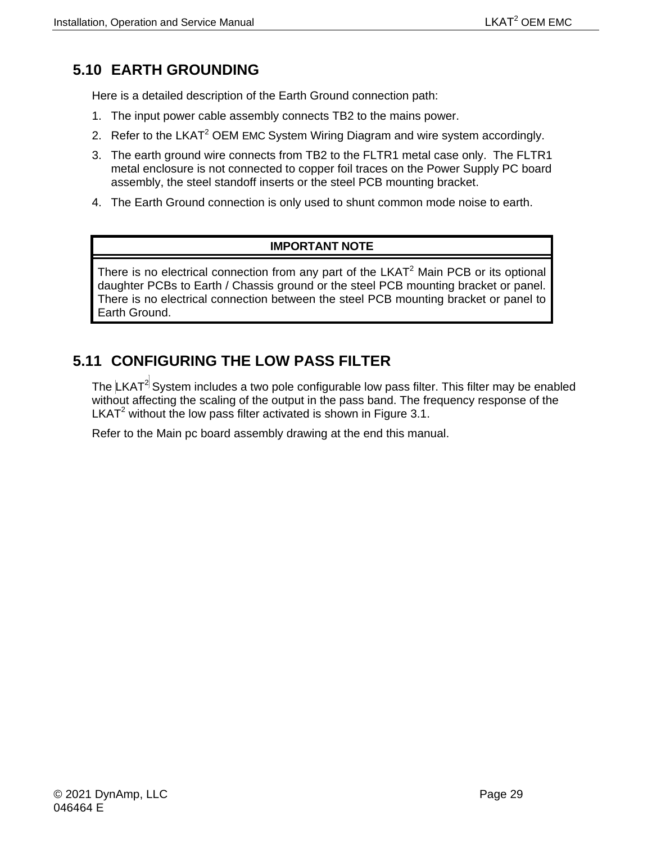# <span id="page-42-0"></span>**5.10 EARTH GROUNDING**

Here is a detailed description of the Earth Ground connection path:

- 1. The input power cable assembly connects TB2 to the mains power.
- 2. Refer to the LKAT<sup>2</sup> OEM EMC System Wiring Diagram and wire system accordingly.
- 3. The earth ground wire connects from TB2 to the FLTR1 metal case only. The FLTR1 metal enclosure is not connected to copper foil traces on the Power Supply PC board assembly, the steel standoff inserts or the steel PCB mounting bracket.
- 4. The Earth Ground connection is only used to shunt common mode noise to earth.

## **IMPORTANT NOTE**

There is no electrical connection from any part of the  $LKAT<sup>2</sup>$  Main PCB or its optional daughter PCBs to Earth / Chassis ground or the steel PCB mounting bracket or panel. There is no electrical connection between the steel PCB mounting bracket or panel to Earth Ground.

## <span id="page-42-1"></span>**5.11 CONFIGURING THE LOW PASS FILTER**

The  $LKAT<sup>2</sup>$  System includes a two pole configurable low pass filter. This filter may be enabled without affecting the scaling of the output in the pass band. The frequency response of the LKAT<sup>2</sup> without the low pass filter activated is shown in Figure 3.1.

Refer to the Main pc board assembly drawing at the end this manual.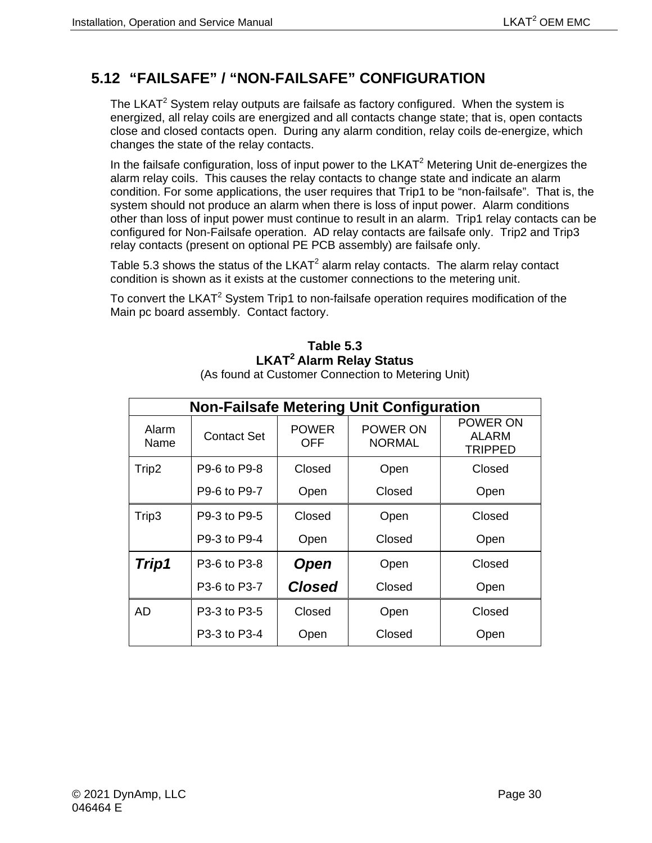## <span id="page-43-0"></span>**5.12 "FAILSAFE" / "NON-FAILSAFE" CONFIGURATION**

The LKAT $2$  System relay outputs are failsafe as factory configured. When the system is energized, all relay coils are energized and all contacts change state; that is, open contacts close and closed contacts open. During any alarm condition, relay coils de-energize, which changes the state of the relay contacts.

In the failsafe configuration, loss of input power to the  $LKAT<sup>2</sup>$  Metering Unit de-energizes the alarm relay coils. This causes the relay contacts to change state and indicate an alarm condition. For some applications, the user requires that Trip1 to be "non-failsafe". That is, the system should not produce an alarm when there is loss of input power. Alarm conditions other than loss of input power must continue to result in an alarm. Trip1 relay contacts can be configured for Non-Failsafe operation. AD relay contacts are failsafe only. Trip2 and Trip3 relay contacts (present on optional PE PCB assembly) are failsafe only.

Table 5.3 shows the status of the  $LKAT^2$  alarm relay contacts. The alarm relay contact condition is shown as it exists at the customer connections to the metering unit.

<span id="page-43-1"></span>To convert the LKAT<sup>2</sup> System Trip1 to non-failsafe operation requires modification of the Main pc board assembly. Contact factory.

## **Table 5.3 LKAT2 Alarm Relay Status**

(As found at Customer Connection to Metering Unit)

| <b>Non-Failsafe Metering Unit Configuration</b> |                    |                     |                                  |                                     |  |  |  |
|-------------------------------------------------|--------------------|---------------------|----------------------------------|-------------------------------------|--|--|--|
| Alarm<br>Name                                   | <b>Contact Set</b> | <b>POWER</b><br>OFF | <b>POWER ON</b><br><b>NORMAL</b> | POWER ON<br>ALARM<br><b>TRIPPED</b> |  |  |  |
| Trip2                                           | P9-6 to P9-8       | Closed              | Open                             | Closed                              |  |  |  |
|                                                 | P9-6 to P9-7       | Open                | Closed                           | Open                                |  |  |  |
| Trip3                                           | P9-3 to P9-5       | Closed              | Open                             | Closed                              |  |  |  |
|                                                 | P9-3 to P9-4       | Open                | Closed                           | Open                                |  |  |  |
| Trip1                                           | P3-6 to P3-8       | <b>Open</b>         | Open                             | Closed                              |  |  |  |
|                                                 | P3-6 to P3-7       | <b>Closed</b>       | Closed                           | Open                                |  |  |  |
| AD                                              | P3-3 to P3-5       | Closed              | Open                             | Closed                              |  |  |  |
|                                                 | P3-3 to P3-4       | Open                | Closed                           | Open                                |  |  |  |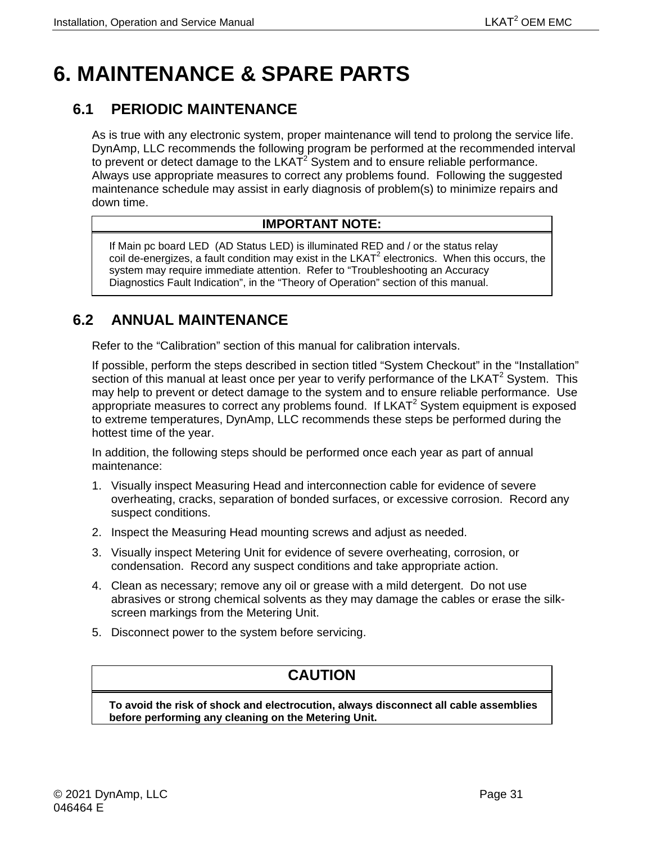# <span id="page-44-0"></span>**6. MAINTENANCE & SPARE PARTS**

## <span id="page-44-1"></span>**6.1 PERIODIC MAINTENANCE**

As is true with any electronic system, proper maintenance will tend to prolong the service life. DynAmp, LLC recommends the following program be performed at the recommended interval to prevent or detect damage to the  $LKA\bar{T}^2$  System and to ensure reliable performance. Always use appropriate measures to correct any problems found. Following the suggested maintenance schedule may assist in early diagnosis of problem(s) to minimize repairs and down time.

### **IMPORTANT NOTE:**

If Main pc board LED (AD Status LED) is illuminated RED and / or the status relay coil de-energizes, a fault condition may exist in the  $LKAT<sup>2</sup>$  electronics. When this occurs, the system may require immediate attention. Refer to "Troubleshooting an Accuracy Diagnostics Fault Indication", in the "Theory of Operation" section of this manual.

## <span id="page-44-2"></span>**6.2 ANNUAL MAINTENANCE**

Refer to the "Calibration" section of this manual for calibration intervals.

If possible, perform the steps described in section titled "System Checkout" in the "Installation" section of this manual at least once per year to verify performance of the LKAT<sup>2</sup> System. This may help to prevent or detect damage to the system and to ensure reliable performance. Use appropriate measures to correct any problems found. If  $LKAT<sup>2</sup>$  System equipment is exposed to extreme temperatures, DynAmp, LLC recommends these steps be performed during the hottest time of the year.

In addition, the following steps should be performed once each year as part of annual maintenance:

- 1. Visually inspect Measuring Head and interconnection cable for evidence of severe overheating, cracks, separation of bonded surfaces, or excessive corrosion. Record any suspect conditions.
- 2. Inspect the Measuring Head mounting screws and adjust as needed.
- 3. Visually inspect Metering Unit for evidence of severe overheating, corrosion, or condensation. Record any suspect conditions and take appropriate action.
- 4. Clean as necessary; remove any oil or grease with a mild detergent. Do not use abrasives or strong chemical solvents as they may damage the cables or erase the silkscreen markings from the Metering Unit.
- 5. Disconnect power to the system before servicing.

## **CAUTION**

**To avoid the risk of shock and electrocution, always disconnect all cable assemblies before performing any cleaning on the Metering Unit.**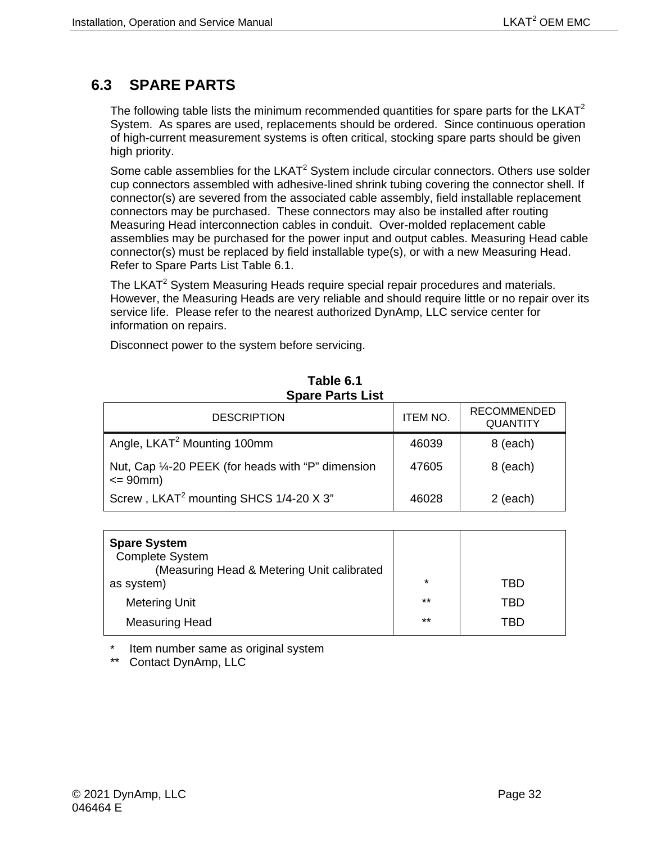## <span id="page-45-0"></span>**6.3 SPARE PARTS**

The following table lists the minimum recommended quantities for spare parts for the LKAT<sup>2</sup> System. As spares are used, replacements should be ordered. Since continuous operation of high-current measurement systems is often critical, stocking spare parts should be given high priority.

Some cable assemblies for the LKAT<sup>2</sup> System include circular connectors. Others use solder cup connectors assembled with adhesive-lined shrink tubing covering the connector shell. If connector(s) are severed from the associated cable assembly, field installable replacement connectors may be purchased. These connectors may also be installed after routing Measuring Head interconnection cables in conduit. Over-molded replacement cable assemblies may be purchased for the power input and output cables. Measuring Head cable connector(s) must be replaced by field installable type(s), or with a new Measuring Head. Refer to Spare Parts List Table 6.1.

The LKAT<sup>2</sup> System Measuring Heads require special repair procedures and materials. However, the Measuring Heads are very reliable and should require little or no repair over its service life. Please refer to the nearest authorized DynAmp, LLC service center for information on repairs.

Disconnect power to the system before servicing.

<span id="page-45-1"></span>

| <b>DESCRIPTION</b>                                                 | <b>ITEM NO.</b> | <b>RECOMMENDED</b><br><b>QUANTITY</b> |  |  |  |  |
|--------------------------------------------------------------------|-----------------|---------------------------------------|--|--|--|--|
| Angle, LKAT <sup>2</sup> Mounting 100mm                            | 46039           | 8 (each)                              |  |  |  |  |
| Nut, Cap 1/4-20 PEEK (for heads with "P" dimension<br>$\leq$ 90mm) | 47605           | 8 (each)                              |  |  |  |  |
| Screw, LKAT <sup>2</sup> mounting SHCS 1/4-20 X 3"                 | 46028           | $2$ (each)                            |  |  |  |  |

#### **Table 6.1 Spare Parts List**

| <b>Spare System</b><br><b>Complete System</b><br>(Measuring Head & Metering Unit calibrated |         |     |
|---------------------------------------------------------------------------------------------|---------|-----|
| as system)                                                                                  | $\star$ | TBD |
| <b>Metering Unit</b>                                                                        | $***$   | TBD |
| <b>Measuring Head</b>                                                                       | $***$   | TRD |

Item number same as original system

\*\* Contact DynAmp, LLC